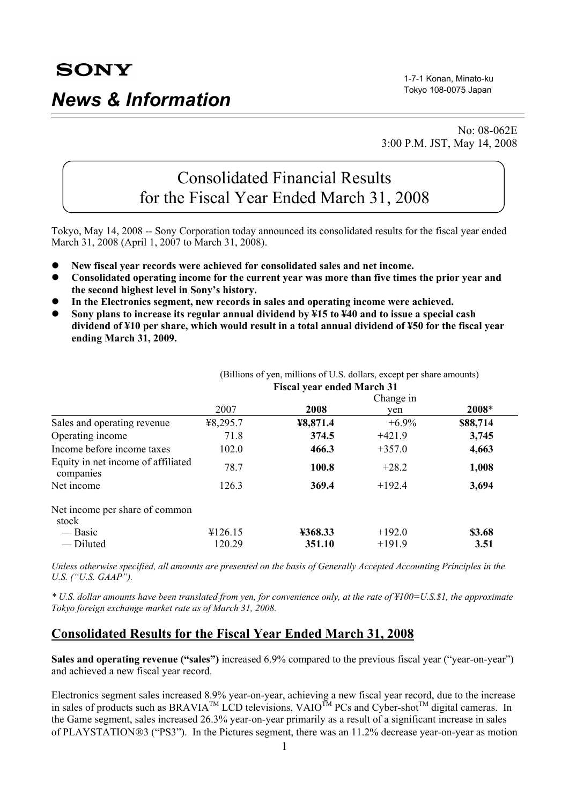1-7-1 Konan, Minato-ku Tokyo 108-0075 Japan

 No: 08-062E 3:00 P.M. JST, May 14, 2008

# Consolidated Financial Results for the Fiscal Year Ended March 31, 2008

Tokyo, May 14, 2008 -- Sony Corporation today announced its consolidated results for the fiscal year ended March 31, 2008 (April 1, 2007 to March 31, 2008).

- **•** New fiscal year records were achieved for consolidated sales and net income.
- Consolidated operating income for the current year was more than five times the prior year and **the second highest level in Sony's history.**
- In the Electronics segment, new records in sales and operating income were achieved.
- z **Sony plans to increase its regular annual dividend by ¥15 to ¥40 and to issue a special cash dividend of ¥10 per share, which would result in a total annual dividend of ¥50 for the fiscal year ending March 31, 2009.**

|                                                 | <b>FISCAI Vear ended March 31</b> |          |          |          |  |
|-------------------------------------------------|-----------------------------------|----------|----------|----------|--|
|                                                 | Change in                         |          |          |          |  |
|                                                 | 2007                              | 2008     | ven      | 2008*    |  |
| Sales and operating revenue                     | ¥8,295.7                          | ¥8,871.4 | $+6.9\%$ | \$88,714 |  |
| Operating income                                | 71.8                              | 374.5    | $+421.9$ | 3,745    |  |
| Income before income taxes                      | 102.0                             | 466.3    | $+357.0$ | 4,663    |  |
| Equity in net income of affiliated<br>companies | 78.7                              | 100.8    | $+28.2$  | 1,008    |  |
| Net income                                      | 126.3                             | 369.4    | $+192.4$ | 3,694    |  |
| Net income per share of common<br>stock         |                                   |          |          |          |  |
| — Basic                                         | ¥126.15                           | ¥368.33  | $+192.0$ | \$3.68   |  |
| - Diluted                                       | 120.29                            | 351.10   | $+191.9$ | 3.51     |  |

 (Billions of yen, millions of U.S. dollars, except per share amounts) **Fiscal year ended March 31** 

*Unless otherwise specified, all amounts are presented on the basis of Generally Accepted Accounting Principles in the U.S. ("U.S. GAAP").* 

*\* U.S. dollar amounts have been translated from yen, for convenience only, at the rate of ¥100=U.S.\$1, the approximate Tokyo foreign exchange market rate as of March 31, 2008.* 

### **Consolidated Results for the Fiscal Year Ended March 31, 2008**

**Sales and operating revenue ("sales")** increased 6.9% compared to the previous fiscal year ("year-on-year") and achieved a new fiscal year record.

Electronics segment sales increased 8.9% year-on-year, achieving a new fiscal year record, due to the increase in sales of products such as BRAVIA<sup>TM</sup> LCD televisions, VAIO<sup>TM</sup> PCs and Cyber-shot<sup>TM</sup> digital cameras. In the Game segment, sales increased 26.3% year-on-year primarily as a result of a significant increase in sales of PLAYSTATION®3 ("PS3"). In the Pictures segment, there was an 11.2% decrease year-on-year as motion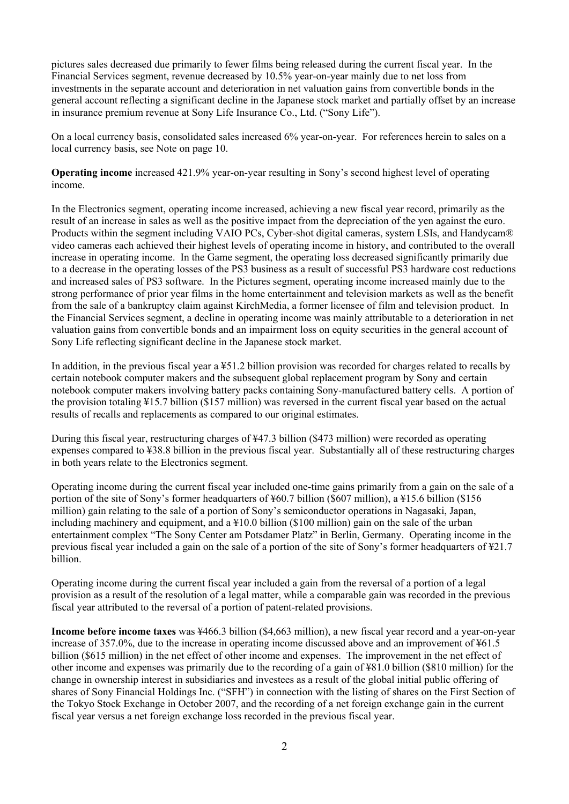pictures sales decreased due primarily to fewer films being released during the current fiscal year. In the Financial Services segment, revenue decreased by 10.5% year-on-year mainly due to net loss from investments in the separate account and deterioration in net valuation gains from convertible bonds in the general account reflecting a significant decline in the Japanese stock market and partially offset by an increase in insurance premium revenue at Sony Life Insurance Co., Ltd. ("Sony Life").

On a local currency basis, consolidated sales increased 6% year-on-year. For references herein to sales on a local currency basis, see Note on page 10.

**Operating income** increased 421.9% year-on-year resulting in Sony's second highest level of operating income.

In the Electronics segment, operating income increased, achieving a new fiscal year record, primarily as the result of an increase in sales as well as the positive impact from the depreciation of the yen against the euro. Products within the segment including VAIO PCs, Cyber-shot digital cameras, system LSIs, and Handycam® video cameras each achieved their highest levels of operating income in history, and contributed to the overall increase in operating income. In the Game segment, the operating loss decreased significantly primarily due to a decrease in the operating losses of the PS3 business as a result of successful PS3 hardware cost reductions and increased sales of PS3 software. In the Pictures segment, operating income increased mainly due to the strong performance of prior year films in the home entertainment and television markets as well as the benefit from the sale of a bankruptcy claim against KirchMedia, a former licensee of film and television product. In the Financial Services segment, a decline in operating income was mainly attributable to a deterioration in net valuation gains from convertible bonds and an impairment loss on equity securities in the general account of Sony Life reflecting significant decline in the Japanese stock market.

In addition, in the previous fiscal year a ¥51.2 billion provision was recorded for charges related to recalls by certain notebook computer makers and the subsequent global replacement program by Sony and certain notebook computer makers involving battery packs containing Sony-manufactured battery cells. A portion of the provision totaling ¥15.7 billion (\$157 million) was reversed in the current fiscal year based on the actual results of recalls and replacements as compared to our original estimates.

During this fiscal year, restructuring charges of ¥47.3 billion (\$473 million) were recorded as operating expenses compared to ¥38.8 billion in the previous fiscal year. Substantially all of these restructuring charges in both years relate to the Electronics segment.

Operating income during the current fiscal year included one-time gains primarily from a gain on the sale of a portion of the site of Sony's former headquarters of ¥60.7 billion (\$607 million), a ¥15.6 billion (\$156 million) gain relating to the sale of a portion of Sony's semiconductor operations in Nagasaki, Japan, including machinery and equipment, and a ¥10.0 billion (\$100 million) gain on the sale of the urban entertainment complex "The Sony Center am Potsdamer Platz" in Berlin, Germany. Operating income in the previous fiscal year included a gain on the sale of a portion of the site of Sony's former headquarters of ¥21.7 billion.

Operating income during the current fiscal year included a gain from the reversal of a portion of a legal provision as a result of the resolution of a legal matter, while a comparable gain was recorded in the previous fiscal year attributed to the reversal of a portion of patent-related provisions.

**Income before income taxes** was ¥466.3 billion (\$4,663 million), a new fiscal year record and a year-on-year increase of 357.0%, due to the increase in operating income discussed above and an improvement of ¥61.5 billion (\$615 million) in the net effect of other income and expenses. The improvement in the net effect of other income and expenses was primarily due to the recording of a gain of ¥81.0 billion (\$810 million) for the change in ownership interest in subsidiaries and investees as a result of the global initial public offering of shares of Sony Financial Holdings Inc. ("SFH") in connection with the listing of shares on the First Section of the Tokyo Stock Exchange in October 2007, and the recording of a net foreign exchange gain in the current fiscal year versus a net foreign exchange loss recorded in the previous fiscal year.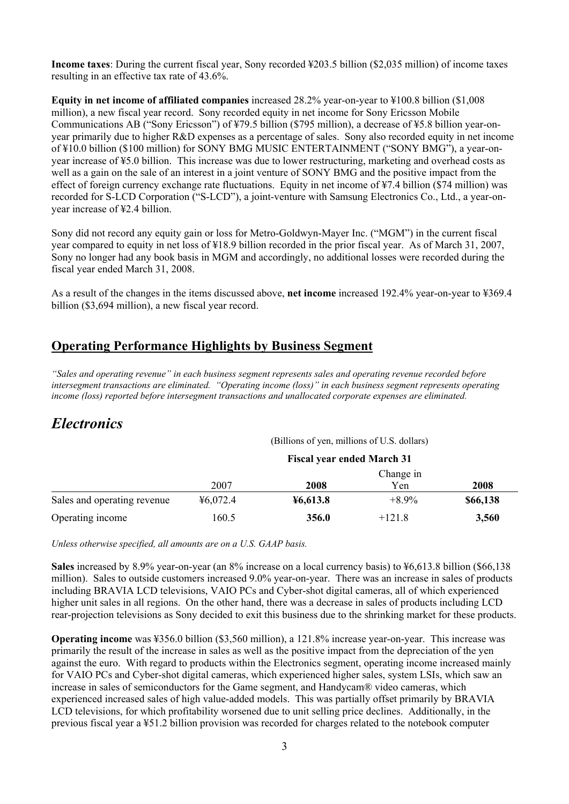**Income taxes**: During the current fiscal year, Sony recorded ¥203.5 billion (\$2,035 million) of income taxes resulting in an effective tax rate of 43.6%.

**Equity in net income of affiliated companies** increased 28.2% year-on-year to ¥100.8 billion (\$1,008 million), a new fiscal year record. Sony recorded equity in net income for Sony Ericsson Mobile Communications AB ("Sony Ericsson") of ¥79.5 billion (\$795 million), a decrease of ¥5.8 billion year-onyear primarily due to higher R&D expenses as a percentage of sales. Sony also recorded equity in net income of ¥10.0 billion (\$100 million) for SONY BMG MUSIC ENTERTAINMENT ("SONY BMG"), a year-onyear increase of ¥5.0 billion. This increase was due to lower restructuring, marketing and overhead costs as well as a gain on the sale of an interest in a joint venture of SONY BMG and the positive impact from the effect of foreign currency exchange rate fluctuations. Equity in net income of ¥7.4 billion (\$74 million) was recorded for S-LCD Corporation ("S-LCD"), a joint-venture with Samsung Electronics Co., Ltd., a year-onyear increase of ¥2.4 billion.

Sony did not record any equity gain or loss for Metro-Goldwyn-Mayer Inc. ("MGM") in the current fiscal year compared to equity in net loss of ¥18.9 billion recorded in the prior fiscal year. As of March 31, 2007, Sony no longer had any book basis in MGM and accordingly, no additional losses were recorded during the fiscal year ended March 31, 2008.

As a result of the changes in the items discussed above, **net income** increased 192.4% year-on-year to ¥369.4 billion (\$3,694 million), a new fiscal year record.

### **Operating Performance Highlights by Business Segment**

*"Sales and operating revenue" in each business segment represents sales and operating revenue recorded before intersegment transactions are eliminated. "Operating income (loss)" in each business segment represents operating income (loss) reported before intersegment transactions and unallocated corporate expenses are eliminated.* 

# *Electronics*

(Billions of yen, millions of U.S. dollars)

|                             | <b>Fiscal year ended March 31</b> |          |          |          |  |  |
|-----------------------------|-----------------------------------|----------|----------|----------|--|--|
|                             | Change in                         |          |          |          |  |  |
|                             | 2007                              | 2008     | Yen      | 2008     |  |  |
| Sales and operating revenue | 46,072.4                          | 46,613.8 | $+8.9\%$ | \$66,138 |  |  |
| Operating income            | 160.5                             | 356.0    | $+121.8$ | 3,560    |  |  |

*Unless otherwise specified, all amounts are on a U.S. GAAP basis.* 

**Sales** increased by 8.9% year-on-year (an 8% increase on a local currency basis) to ¥6,613.8 billion (\$66,138 million). Sales to outside customers increased 9.0% year-on-year. There was an increase in sales of products including BRAVIA LCD televisions, VAIO PCs and Cyber-shot digital cameras, all of which experienced higher unit sales in all regions. On the other hand, there was a decrease in sales of products including LCD rear-projection televisions as Sony decided to exit this business due to the shrinking market for these products.

**Operating income** was ¥356.0 billion (\$3,560 million), a 121.8% increase year-on-year. This increase was primarily the result of the increase in sales as well as the positive impact from the depreciation of the yen against the euro. With regard to products within the Electronics segment, operating income increased mainly for VAIO PCs and Cyber-shot digital cameras, which experienced higher sales, system LSIs, which saw an increase in sales of semiconductors for the Game segment, and Handycam® video cameras, which experienced increased sales of high value-added models. This was partially offset primarily by BRAVIA LCD televisions, for which profitability worsened due to unit selling price declines. Additionally, in the previous fiscal year a ¥51.2 billion provision was recorded for charges related to the notebook computer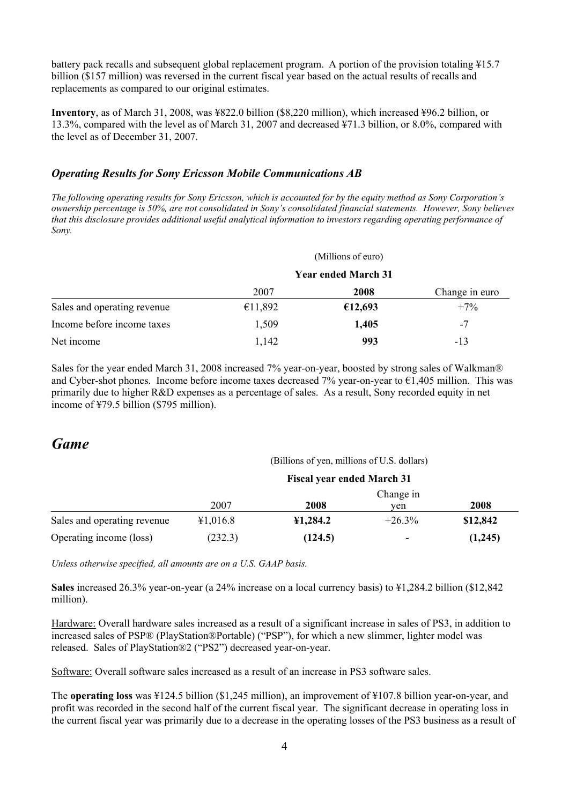battery pack recalls and subsequent global replacement program. A portion of the provision totaling ¥15.7 billion (\$157 million) was reversed in the current fiscal year based on the actual results of recalls and replacements as compared to our original estimates.

**Inventory**, as of March 31, 2008, was ¥822.0 billion (\$8,220 million), which increased ¥96.2 billion, or 13.3%, compared with the level as of March 31, 2007 and decreased ¥71.3 billion, or 8.0%, compared with the level as of December 31, 2007.

### *Operating Results for Sony Ericsson Mobile Communications AB*

*The following operating results for Sony Ericsson, which is accounted for by the equity method as Sony Corporation's ownership percentage is 50%, are not consolidated in Sony's consolidated financial statements. However, Sony believes that this disclosure provides additional useful analytical information to investors regarding operating performance of Sony.* 

|                             |                            | (Millions of euro) |                |  |
|-----------------------------|----------------------------|--------------------|----------------|--|
|                             | <b>Year ended March 31</b> |                    |                |  |
|                             | 2007                       | 2008               | Change in euro |  |
| Sales and operating revenue | €11,892                    | €12,693            | $+7\%$         |  |
| Income before income taxes  | 1,509                      | 1,405              | $-7$           |  |
| Net income                  | 1,142                      | 993                | -13            |  |

Sales for the year ended March 31, 2008 increased 7% year-on-year, boosted by strong sales of Walkman® and Cyber-shot phones. Income before income taxes decreased 7% year-on-year to  $\epsilon$ 1,405 million. This was primarily due to higher R&D expenses as a percentage of sales. As a result, Sony recorded equity in net income of ¥79.5 billion (\$795 million).

### *Game*

#### (Billions of yen, millions of U.S. dollars)

|                             | <b>Fiscal year ended March 31</b> |          |           |          |  |  |  |
|-----------------------------|-----------------------------------|----------|-----------|----------|--|--|--|
|                             |                                   |          | Change in |          |  |  |  |
|                             | 2007                              | 2008     | ven       | 2008     |  |  |  |
| Sales and operating revenue | ¥1,016.8                          | 41,284.2 | $+26.3\%$ | \$12,842 |  |  |  |
| Operating income (loss)     | (232.3)                           | (124.5)  |           | (1,245)  |  |  |  |

*Unless otherwise specified, all amounts are on a U.S. GAAP basis.* 

**Sales** increased 26.3% year-on-year (a 24% increase on a local currency basis) to ¥1,284.2 billion (\$12,842 million).

Hardware: Overall hardware sales increased as a result of a significant increase in sales of PS3, in addition to increased sales of PSP® (PlayStation®Portable) ("PSP"), for which a new slimmer, lighter model was released. Sales of PlayStation®2 ("PS2") decreased year-on-year.

Software: Overall software sales increased as a result of an increase in PS3 software sales.

The **operating loss** was ¥124.5 billion (\$1,245 million), an improvement of ¥107.8 billion year-on-year, and profit was recorded in the second half of the current fiscal year. The significant decrease in operating loss in the current fiscal year was primarily due to a decrease in the operating losses of the PS3 business as a result of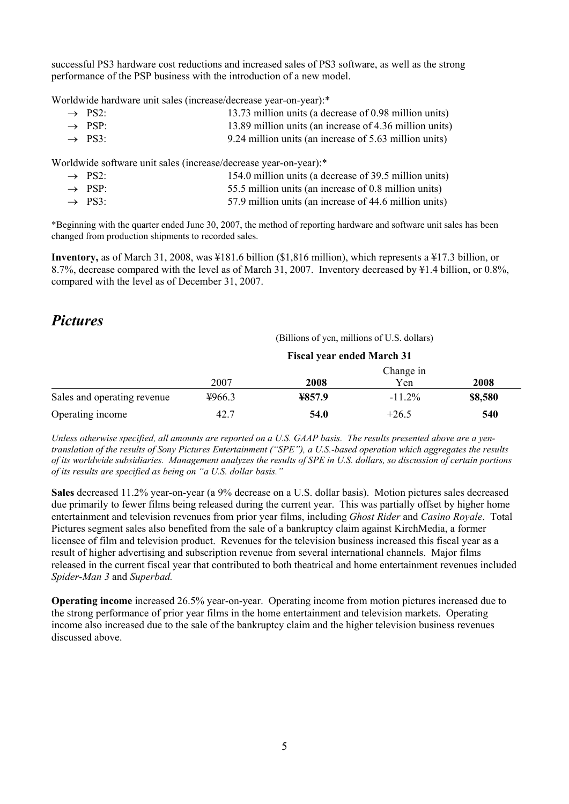successful PS3 hardware cost reductions and increased sales of PS3 software, as well as the strong performance of the PSP business with the introduction of a new model.

Worldwide hardware unit sales (increase/decrease year-on-year):\*

| $\rightarrow$ PS2: | 13.73 million units (a decrease of 0.98 million units)  |
|--------------------|---------------------------------------------------------|
| $\rightarrow$ PSP: | 13.89 million units (an increase of 4.36 million units) |
| $\rightarrow$ PS3. | 9.24 million units (an increase of 5.63 million units)  |

Worldwide software unit sales (increase/decrease year-on-year):\*

| $\rightarrow$ PS2: | 154.0 million units (a decrease of 39.5 million units) |
|--------------------|--------------------------------------------------------|
| $\rightarrow$ PSP  | 55.5 million units (an increase of 0.8 million units)  |
| $\rightarrow$ PS3. | 57.9 million units (an increase of 44.6 million units) |

\*Beginning with the quarter ended June 30, 2007, the method of reporting hardware and software unit sales has been changed from production shipments to recorded sales.

**Inventory,** as of March 31, 2008, was ¥181.6 billion (\$1,816 million), which represents a ¥17.3 billion, or 8.7%, decrease compared with the level as of March 31, 2007. Inventory decreased by ¥1.4 billion, or 0.8%, compared with the level as of December 31, 2007.

### *Pictures*

(Billions of yen, millions of U.S. dollars)

|                             | <b>Fiscal year ended March 31</b> |        |           |         |  |  |  |
|-----------------------------|-----------------------------------|--------|-----------|---------|--|--|--|
|                             |                                   |        |           |         |  |  |  |
|                             | 2007                              | 2008   | Yen       | 2008    |  |  |  |
| Sales and operating revenue | ¥966.3                            | ¥857.9 | $-11.2\%$ | \$8,580 |  |  |  |
| Operating income            | 42.7                              | 54.0   | $+26.5$   | 540     |  |  |  |

*Unless otherwise specified, all amounts are reported on a U.S. GAAP basis. The results presented above are a yentranslation of the results of Sony Pictures Entertainment ("SPE"), a U.S.-based operation which aggregates the results of its worldwide subsidiaries. Management analyzes the results of SPE in U.S. dollars, so discussion of certain portions of its results are specified as being on "a U.S. dollar basis."* 

**Sales** decreased 11.2% year-on-year (a 9% decrease on a U.S. dollar basis). Motion pictures sales decreased due primarily to fewer films being released during the current year. This was partially offset by higher home entertainment and television revenues from prior year films, including *Ghost Rider* and *Casino Royale*. Total Pictures segment sales also benefited from the sale of a bankruptcy claim against KirchMedia, a former licensee of film and television product. Revenues for the television business increased this fiscal year as a result of higher advertising and subscription revenue from several international channels. Major films released in the current fiscal year that contributed to both theatrical and home entertainment revenues included *Spider-Man 3* and *Superbad.*

**Operating income** increased 26.5% year-on-year. Operating income from motion pictures increased due to the strong performance of prior year films in the home entertainment and television markets. Operating income also increased due to the sale of the bankruptcy claim and the higher television business revenues discussed above.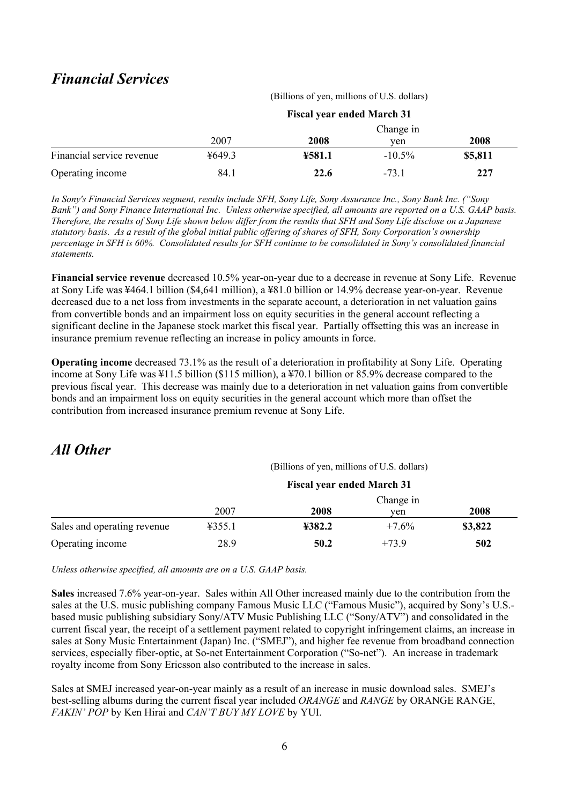# *Financial Services*

|                           | <b>Fiscal year ended March 31</b> |        |           |         |  |  |
|---------------------------|-----------------------------------|--------|-----------|---------|--|--|
|                           | Change in                         |        |           |         |  |  |
|                           | 2007                              | 2008   | ven       | 2008    |  |  |
| Financial service revenue | 4649.3                            | ¥581.1 | $-10.5\%$ | \$5,811 |  |  |
| Operating income          | 84.1                              | 22.6   | $-73.1$   | 227     |  |  |

*In Sony's Financial Services segment, results include SFH, Sony Life, Sony Assurance Inc., Sony Bank Inc. ("Sony Bank") and Sony Finance International Inc. Unless otherwise specified, all amounts are reported on a U.S. GAAP basis. Therefore, the results of Sony Life shown below differ from the results that SFH and Sony Life disclose on a Japanese statutory basis. As a result of the global initial public offering of shares of SFH, Sony Corporation's ownership percentage in SFH is 60%. Consolidated results for SFH continue to be consolidated in Sony's consolidated financial statements.* 

**Financial service revenue** decreased 10.5% year-on-year due to a decrease in revenue at Sony Life. Revenue at Sony Life was ¥464.1 billion (\$4,641 million), a ¥81.0 billion or 14.9% decrease year-on-year. Revenue decreased due to a net loss from investments in the separate account, a deterioration in net valuation gains from convertible bonds and an impairment loss on equity securities in the general account reflecting a significant decline in the Japanese stock market this fiscal year. Partially offsetting this was an increase in insurance premium revenue reflecting an increase in policy amounts in force.

**Operating income** decreased 73.1% as the result of a deterioration in profitability at Sony Life. Operating income at Sony Life was ¥11.5 billion (\$115 million), a ¥70.1 billion or 85.9% decrease compared to the previous fiscal year. This decrease was mainly due to a deterioration in net valuation gains from convertible bonds and an impairment loss on equity securities in the general account which more than offset the contribution from increased insurance premium revenue at Sony Life.

# *All Other*

(Billions of yen, millions of U.S. dollars)

(Billions of yen, millions of U.S. dollars)

|                             | <b>Fiscal year ended March 31</b> |        |         |         |  |  |  |
|-----------------------------|-----------------------------------|--------|---------|---------|--|--|--|
|                             |                                   |        |         |         |  |  |  |
|                             | 2007                              | 2008   | ven     | 2008    |  |  |  |
| Sales and operating revenue | 4355.1                            | ¥382.2 | $+7.6%$ | \$3,822 |  |  |  |
| Operating income            | 28.9                              | 50.2   | $+739$  | 502     |  |  |  |

*Unless otherwise specified, all amounts are on a U.S. GAAP basis.* 

**Sales** increased 7.6% year-on-year. Sales within All Other increased mainly due to the contribution from the sales at the U.S. music publishing company Famous Music LLC ("Famous Music"), acquired by Sony's U.S. based music publishing subsidiary Sony/ATV Music Publishing LLC ("Sony/ATV") and consolidated in the current fiscal year, the receipt of a settlement payment related to copyright infringement claims, an increase in sales at Sony Music Entertainment (Japan) Inc. ("SMEJ"), and higher fee revenue from broadband connection services, especially fiber-optic, at So-net Entertainment Corporation ("So-net"). An increase in trademark royalty income from Sony Ericsson also contributed to the increase in sales.

Sales at SMEJ increased year-on-year mainly as a result of an increase in music download sales. SMEJ's best-selling albums during the current fiscal year included *ORANGE* and *RANGE* by ORANGE RANGE, *FAKIN' POP* by Ken Hirai and *CAN'T BUY MY LOVE* by YUI.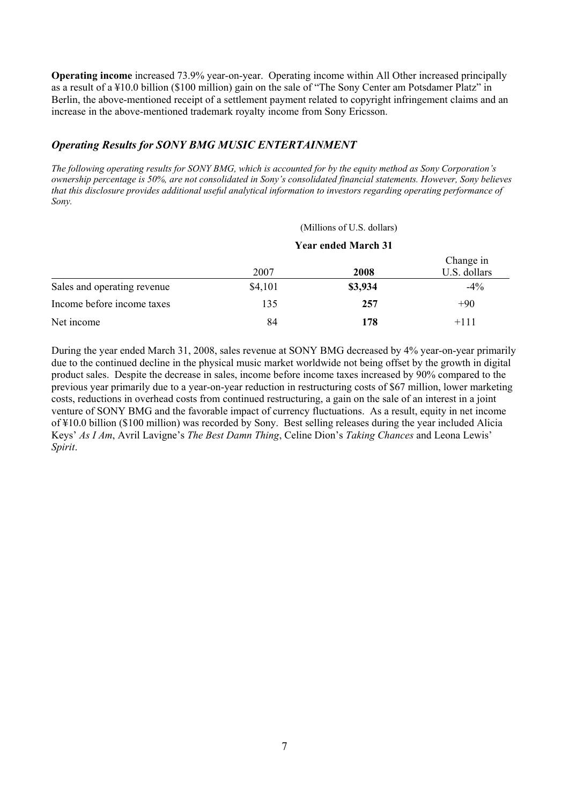**Operating income** increased 73.9% year-on-year. Operating income within All Other increased principally as a result of a ¥10.0 billion (\$100 million) gain on the sale of "The Sony Center am Potsdamer Platz" in Berlin, the above-mentioned receipt of a settlement payment related to copyright infringement claims and an increase in the above-mentioned trademark royalty income from Sony Ericsson.

#### *Operating Results for SONY BMG MUSIC ENTERTAINMENT*

*The following operating results for SONY BMG, which is accounted for by the equity method as Sony Corporation's ownership percentage is 50%, are not consolidated in Sony's consolidated financial statements. However, Sony believes that this disclosure provides additional useful analytical information to investors regarding operating performance of Sony.* 

(Millions of U.S. dollars)

|                             | <b>Year ended March 31</b> |         |                           |  |
|-----------------------------|----------------------------|---------|---------------------------|--|
|                             | 2007                       | 2008    | Change in<br>U.S. dollars |  |
| Sales and operating revenue | \$4,101                    | \$3,934 | $-4\%$                    |  |
| Income before income taxes  | 135                        | 257     | $+90$                     |  |
| Net income                  | 84                         | 178     | $+111$                    |  |

During the year ended March 31, 2008, sales revenue at SONY BMG decreased by 4% year-on-year primarily due to the continued decline in the physical music market worldwide not being offset by the growth in digital product sales. Despite the decrease in sales, income before income taxes increased by 90% compared to the previous year primarily due to a year-on-year reduction in restructuring costs of \$67 million, lower marketing costs, reductions in overhead costs from continued restructuring, a gain on the sale of an interest in a joint venture of SONY BMG and the favorable impact of currency fluctuations. As a result, equity in net income of ¥10.0 billion (\$100 million) was recorded by Sony. Best selling releases during the year included Alicia Keys' *As I Am*, Avril Lavigne's *The Best Damn Thing*, Celine Dion's *Taking Chances* and Leona Lewis' *Spirit*.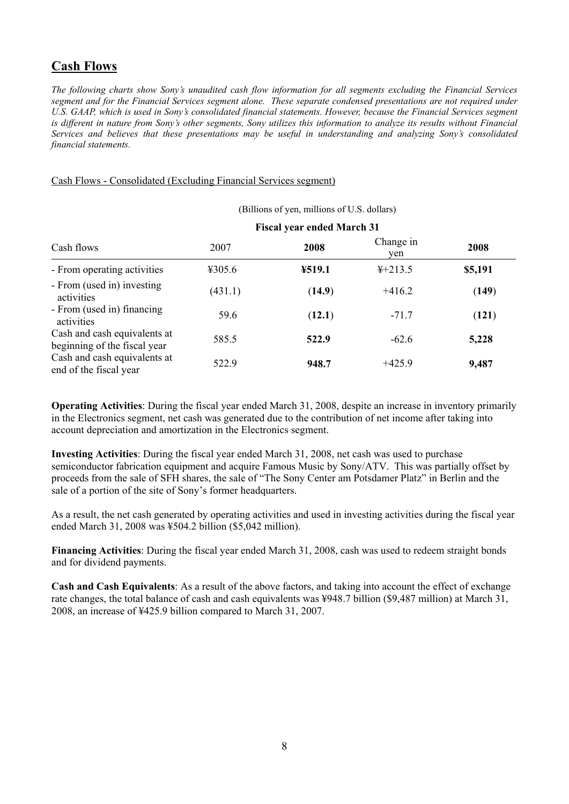## **Cash Flows**

*The following charts show Sony's unaudited cash flow information for all segments excluding the Financial Services segment and for the Financial Services segment alone. These separate condensed presentations are not required under U.S. GAAP, which is used in Sony's consolidated financial statements. However, because the Financial Services segment is different in nature from Sony's other segments, Sony utilizes this information to analyze its results without Financial Services and believes that these presentations may be useful in understanding and analyzing Sony's consolidated financial statements.* 

#### Cash Flows - Consolidated (Excluding Financial Services segment)

|                                                              |                                   | (Billions of yen, millions of U.S. dollars) |                  |         |
|--------------------------------------------------------------|-----------------------------------|---------------------------------------------|------------------|---------|
| Cash flows                                                   | <b>Fiscal year ended March 31</b> |                                             |                  |         |
|                                                              | 2007                              | 2008                                        | Change in<br>ven | 2008    |
| - From operating activities                                  | 4305.6                            | ¥519.1                                      | $4+213.5$        | \$5,191 |
| - From (used in) investing<br>activities                     | (431.1)                           | (14.9)                                      | $+416.2$         | (149)   |
| - From (used in) financing<br>activities                     | 59.6                              | (12.1)                                      | $-71.7$          | (121)   |
| Cash and cash equivalents at<br>beginning of the fiscal year | 585.5                             | 522.9                                       | $-62.6$          | 5,228   |
| Cash and cash equivalents at<br>end of the fiscal year       | 522.9                             | 948.7                                       | $+425.9$         | 9,487   |

**Operating Activities**: During the fiscal year ended March 31, 2008, despite an increase in inventory primarily in the Electronics segment, net cash was generated due to the contribution of net income after taking into account depreciation and amortization in the Electronics segment.

**Investing Activities**: During the fiscal year ended March 31, 2008, net cash was used to purchase semiconductor fabrication equipment and acquire Famous Music by Sony/ATV. This was partially offset by proceeds from the sale of SFH shares, the sale of "The Sony Center am Potsdamer Platz" in Berlin and the sale of a portion of the site of Sony's former headquarters.

As a result, the net cash generated by operating activities and used in investing activities during the fiscal year ended March 31, 2008 was ¥504.2 billion (\$5,042 million).

**Financing Activities**: During the fiscal year ended March 31, 2008, cash was used to redeem straight bonds and for dividend payments.

**Cash and Cash Equivalents**: As a result of the above factors, and taking into account the effect of exchange rate changes, the total balance of cash and cash equivalents was ¥948.7 billion (\$9,487 million) at March 31, 2008, an increase of ¥425.9 billion compared to March 31, 2007.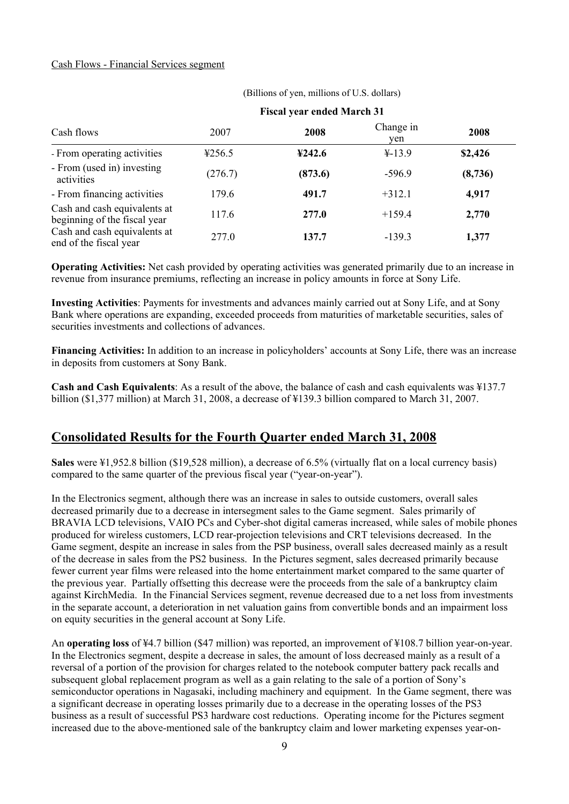#### Cash Flows - Financial Services segment

| Cash flows                                                   | 2007    | 2008    | Change in<br>ven | 2008    |
|--------------------------------------------------------------|---------|---------|------------------|---------|
| - From operating activities                                  | 4256.5  | 4242.6  | $4 - 13.9$       | \$2,426 |
| - From (used in) investing<br>activities                     | (276.7) | (873.6) | $-596.9$         | (8,736) |
| - From financing activities                                  | 179.6   | 491.7   | $+312.1$         | 4,917   |
| Cash and cash equivalents at<br>beginning of the fiscal year | 117.6   | 277.0   | $+159.4$         | 2,770   |
| Cash and cash equivalents at<br>end of the fiscal year       | 277.0   | 137.7   | $-139.3$         | 1,377   |

 (Billions of yen, millions of U.S. dollars)  **Fiscal year ended March 31** 

**Operating Activities:** Net cash provided by operating activities was generated primarily due to an increase in revenue from insurance premiums, reflecting an increase in policy amounts in force at Sony Life.

**Investing Activities**: Payments for investments and advances mainly carried out at Sony Life, and at Sony Bank where operations are expanding, exceeded proceeds from maturities of marketable securities, sales of securities investments and collections of advances.

**Financing Activities:** In addition to an increase in policyholders' accounts at Sony Life, there was an increase in deposits from customers at Sony Bank.

**Cash and Cash Equivalents**: As a result of the above, the balance of cash and cash equivalents was ¥137.7 billion (\$1,377 million) at March 31, 2008, a decrease of ¥139.3 billion compared to March 31, 2007.

### **Consolidated Results for the Fourth Quarter ended March 31, 2008**

**Sales** were ¥1,952.8 billion (\$19,528 million), a decrease of 6.5% (virtually flat on a local currency basis) compared to the same quarter of the previous fiscal year ("year-on-year").

In the Electronics segment, although there was an increase in sales to outside customers, overall sales decreased primarily due to a decrease in intersegment sales to the Game segment. Sales primarily of BRAVIA LCD televisions, VAIO PCs and Cyber-shot digital cameras increased, while sales of mobile phones produced for wireless customers, LCD rear-projection televisions and CRT televisions decreased. In the Game segment, despite an increase in sales from the PSP business, overall sales decreased mainly as a result of the decrease in sales from the PS2 business. In the Pictures segment, sales decreased primarily because fewer current year films were released into the home entertainment market compared to the same quarter of the previous year. Partially offsetting this decrease were the proceeds from the sale of a bankruptcy claim against KirchMedia. In the Financial Services segment, revenue decreased due to a net loss from investments in the separate account, a deterioration in net valuation gains from convertible bonds and an impairment loss on equity securities in the general account at Sony Life.

An **operating loss** of ¥4.7 billion (\$47 million) was reported, an improvement of ¥108.7 billion year-on-year. In the Electronics segment, despite a decrease in sales, the amount of loss decreased mainly as a result of a reversal of a portion of the provision for charges related to the notebook computer battery pack recalls and subsequent global replacement program as well as a gain relating to the sale of a portion of Sony's semiconductor operations in Nagasaki, including machinery and equipment. In the Game segment, there was a significant decrease in operating losses primarily due to a decrease in the operating losses of the PS3 business as a result of successful PS3 hardware cost reductions. Operating income for the Pictures segment increased due to the above-mentioned sale of the bankruptcy claim and lower marketing expenses year-on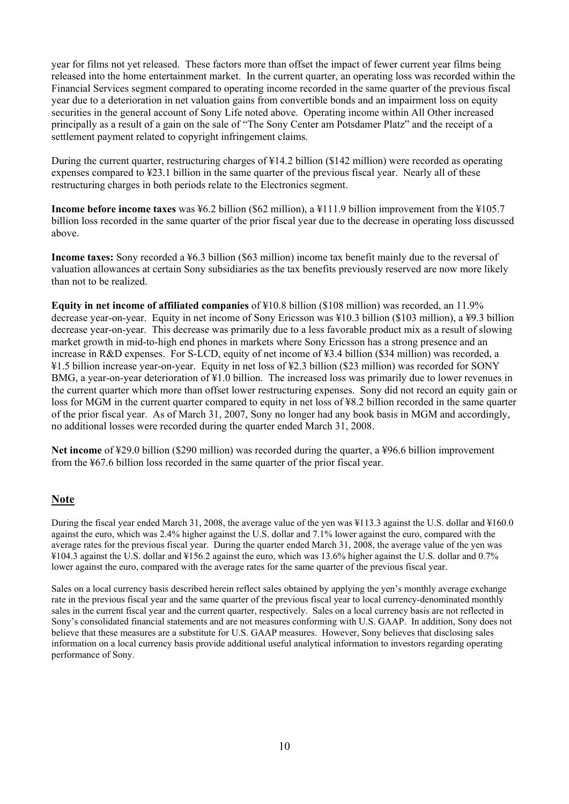year for films not yet released. These factors more than offset the impact of fewer current year films being released into the home entertainment market. In the current quarter, an operating loss was recorded within the Financial Services segment compared to operating income recorded in the same quarter of the previous fiscal year due to a deterioration in net valuation gains from convertible bonds and an impairment loss on equity securities in the general account of Sony Life noted above. Operating income within All Other increased principally as a result of a gain on the sale of "The Sony Center am Potsdamer Platz" and the receipt of a settlement payment related to copyright infringement claims.

During the current quarter, restructuring charges of ¥14.2 billion (\$142 million) were recorded as operating expenses compared to ¥23.1 billion in the same quarter of the previous fiscal year. Nearly all of these restructuring charges in both periods relate to the Electronics segment.

**Income before income taxes** was ¥6.2 billion (\$62 million), a ¥111.9 billion improvement from the ¥105.7 billion loss recorded in the same quarter of the prior fiscal year due to the decrease in operating loss discussed above.

**Income taxes:** Sony recorded a ¥6.3 billion (\$63 million) income tax benefit mainly due to the reversal of valuation allowances at certain Sony subsidiaries as the tax benefits previously reserved are now more likely than not to be realized.

**Equity in net income of affiliated companies** of ¥10.8 billion (\$108 million) was recorded, an 11.9% decrease year-on-year. Equity in net income of Sony Ericsson was ¥10.3 billion (\$103 million), a ¥9.3 billion decrease year-on-year. This decrease was primarily due to a less favorable product mix as a result of slowing market growth in mid-to-high end phones in markets where Sony Ericsson has a strong presence and an increase in R&D expenses. For S-LCD, equity of net income of ¥3.4 billion (\$34 million) was recorded, a ¥1.5 billion increase year-on-year. Equity in net loss of ¥2.3 billion (\$23 million) was recorded for SONY BMG, a year-on-year deterioration of ¥1.0 billion. The increased loss was primarily due to lower revenues in the current quarter which more than offset lower restructuring expenses. Sony did not record an equity gain or loss for MGM in the current quarter compared to equity in net loss of ¥8.2 billion recorded in the same quarter of the prior fiscal year. As of March 31, 2007, Sony no longer had any book basis in MGM and accordingly, no additional losses were recorded during the quarter ended March 31, 2008.

**Net income** of ¥29.0 billion (\$290 million) was recorded during the quarter, a ¥96.6 billion improvement from the ¥67.6 billion loss recorded in the same quarter of the prior fiscal year.

#### **Note**

During the fiscal year ended March 31, 2008, the average value of the yen was ¥113.3 against the U.S. dollar and ¥160.0 against the euro, which was 2.4% higher against the U.S. dollar and 7.1% lower against the euro, compared with the average rates for the previous fiscal year. During the quarter ended March 31, 2008, the average value of the yen was ¥104.3 against the U.S. dollar and ¥156.2 against the euro, which was 13.6% higher against the U.S. dollar and 0.7% lower against the euro, compared with the average rates for the same quarter of the previous fiscal year.

Sales on a local currency basis described herein reflect sales obtained by applying the yen's monthly average exchange rate in the previous fiscal year and the same quarter of the previous fiscal year to local currency-denominated monthly sales in the current fiscal year and the current quarter, respectively. Sales on a local currency basis are not reflected in Sony's consolidated financial statements and are not measures conforming with U.S. GAAP. In addition, Sony does not believe that these measures are a substitute for U.S. GAAP measures. However, Sony believes that disclosing sales information on a local currency basis provide additional useful analytical information to investors regarding operating performance of Sony.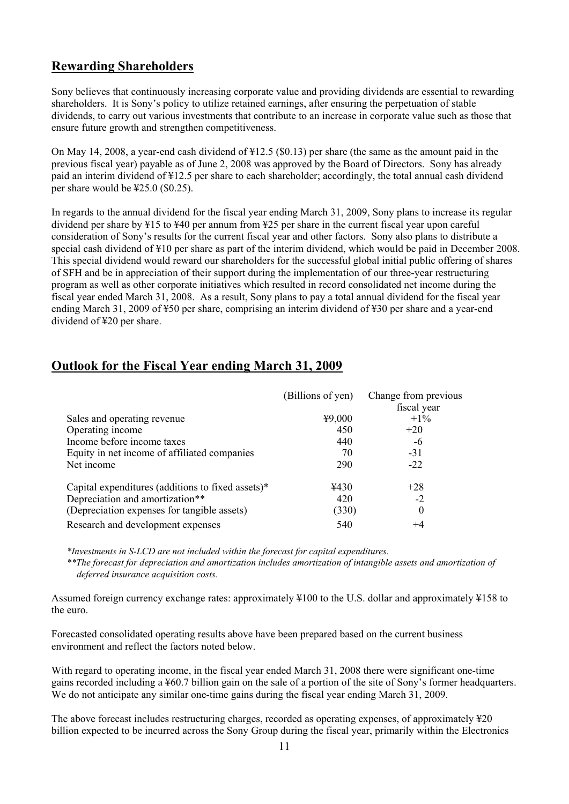## **Rewarding Shareholders**

Sony believes that continuously increasing corporate value and providing dividends are essential to rewarding shareholders. It is Sony's policy to utilize retained earnings, after ensuring the perpetuation of stable dividends, to carry out various investments that contribute to an increase in corporate value such as those that ensure future growth and strengthen competitiveness.

On May 14, 2008, a year-end cash dividend of ¥12.5 (\$0.13) per share (the same as the amount paid in the previous fiscal year) payable as of June 2, 2008 was approved by the Board of Directors. Sony has already paid an interim dividend of ¥12.5 per share to each shareholder; accordingly, the total annual cash dividend per share would be ¥25.0 (\$0.25).

In regards to the annual dividend for the fiscal year ending March 31, 2009, Sony plans to increase its regular dividend per share by ¥15 to ¥40 per annum from ¥25 per share in the current fiscal year upon careful consideration of Sony's results for the current fiscal year and other factors. Sony also plans to distribute a special cash dividend of ¥10 per share as part of the interim dividend, which would be paid in December 2008. This special dividend would reward our shareholders for the successful global initial public offering of shares of SFH and be in appreciation of their support during the implementation of our three-year restructuring program as well as other corporate initiatives which resulted in record consolidated net income during the fiscal year ended March 31, 2008. As a result, Sony plans to pay a total annual dividend for the fiscal year ending March 31, 2009 of ¥50 per share, comprising an interim dividend of ¥30 per share and a year-end dividend of ¥20 per share.

## **Outlook for the Fiscal Year ending March 31, 2009**

|                                                      | (Billions of yen) | Change from previous<br>fiscal year |
|------------------------------------------------------|-------------------|-------------------------------------|
| Sales and operating revenue                          | 49,000            | $+1\%$                              |
| Operating income                                     | 450               | $+20$                               |
| Income before income taxes                           | 440               | -6                                  |
| Equity in net income of affiliated companies         | 70                | $-31$                               |
| Net income                                           | 290               | $-22$                               |
| Capital expenditures (additions to fixed assets) $*$ | ¥430              | $+28$                               |
| Depreciation and amortization**                      | 420               | $-2$                                |
| (Depreciation expenses for tangible assets)          | (330)             | $\theta$                            |
| Research and development expenses                    | 540               | $^{+4}$                             |

*\*Investments in S-LCD are not included within the forecast for capital expenditures.*

\*\*The forecast for depreciation and amortization includes amortization of intangible assets and amortization of *deferred insurance acquisition costs.* 

Assumed foreign currency exchange rates: approximately ¥100 to the U.S. dollar and approximately ¥158 to the euro.

Forecasted consolidated operating results above have been prepared based on the current business environment and reflect the factors noted below.

With regard to operating income, in the fiscal year ended March 31, 2008 there were significant one-time gains recorded including a ¥60.7 billion gain on the sale of a portion of the site of Sony's former headquarters. We do not anticipate any similar one-time gains during the fiscal year ending March 31, 2009.

The above forecast includes restructuring charges, recorded as operating expenses, of approximately ¥20 billion expected to be incurred across the Sony Group during the fiscal year, primarily within the Electronics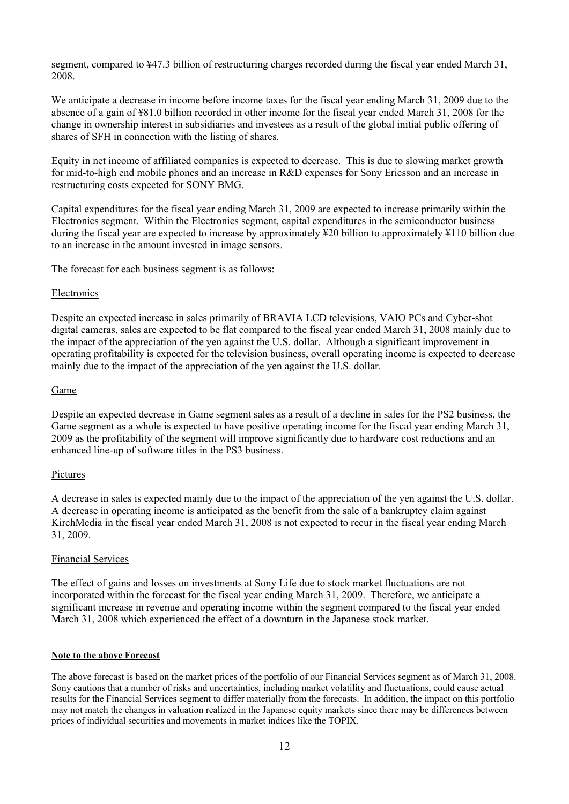segment, compared to ¥47.3 billion of restructuring charges recorded during the fiscal year ended March 31, 2008.

We anticipate a decrease in income before income taxes for the fiscal year ending March 31, 2009 due to the absence of a gain of ¥81.0 billion recorded in other income for the fiscal year ended March 31, 2008 for the change in ownership interest in subsidiaries and investees as a result of the global initial public offering of shares of SFH in connection with the listing of shares.

Equity in net income of affiliated companies is expected to decrease. This is due to slowing market growth for mid-to-high end mobile phones and an increase in R&D expenses for Sony Ericsson and an increase in restructuring costs expected for SONY BMG.

Capital expenditures for the fiscal year ending March 31, 2009 are expected to increase primarily within the Electronics segment. Within the Electronics segment, capital expenditures in the semiconductor business during the fiscal year are expected to increase by approximately ¥20 billion to approximately ¥110 billion due to an increase in the amount invested in image sensors.

The forecast for each business segment is as follows:

#### Electronics

Despite an expected increase in sales primarily of BRAVIA LCD televisions, VAIO PCs and Cyber-shot digital cameras, sales are expected to be flat compared to the fiscal year ended March 31, 2008 mainly due to the impact of the appreciation of the yen against the U.S. dollar. Although a significant improvement in operating profitability is expected for the television business, overall operating income is expected to decrease mainly due to the impact of the appreciation of the yen against the U.S. dollar.

#### Game

Despite an expected decrease in Game segment sales as a result of a decline in sales for the PS2 business, the Game segment as a whole is expected to have positive operating income for the fiscal year ending March 31, 2009 as the profitability of the segment will improve significantly due to hardware cost reductions and an enhanced line-up of software titles in the PS3 business.

#### Pictures

A decrease in sales is expected mainly due to the impact of the appreciation of the yen against the U.S. dollar. A decrease in operating income is anticipated as the benefit from the sale of a bankruptcy claim against KirchMedia in the fiscal year ended March 31, 2008 is not expected to recur in the fiscal year ending March 31, 2009.

#### Financial Services

The effect of gains and losses on investments at Sony Life due to stock market fluctuations are not incorporated within the forecast for the fiscal year ending March 31, 2009. Therefore, we anticipate a significant increase in revenue and operating income within the segment compared to the fiscal year ended March 31, 2008 which experienced the effect of a downturn in the Japanese stock market.

#### **Note to the above Forecast**

The above forecast is based on the market prices of the portfolio of our Financial Services segment as of March 31, 2008. Sony cautions that a number of risks and uncertainties, including market volatility and fluctuations, could cause actual results for the Financial Services segment to differ materially from the forecasts. In addition, the impact on this portfolio may not match the changes in valuation realized in the Japanese equity markets since there may be differences between prices of individual securities and movements in market indices like the TOPIX.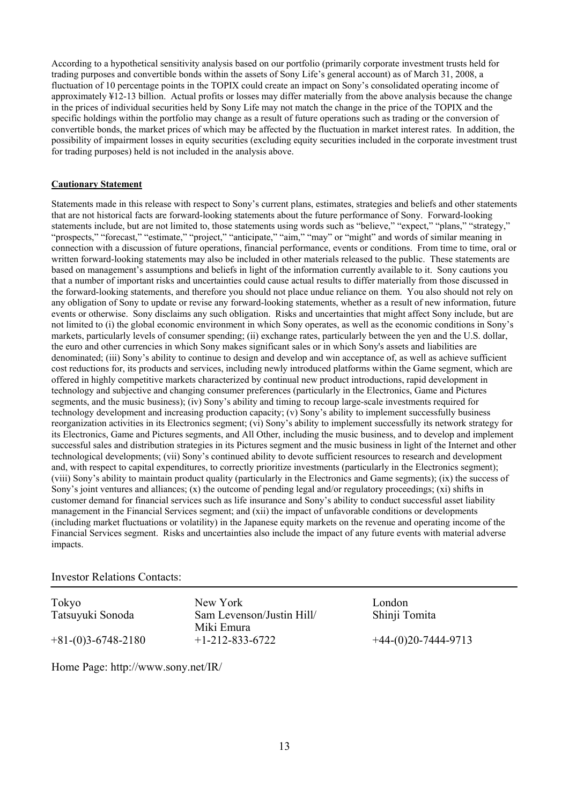According to a hypothetical sensitivity analysis based on our portfolio (primarily corporate investment trusts held for trading purposes and convertible bonds within the assets of Sony Life's general account) as of March 31, 2008, a fluctuation of 10 percentage points in the TOPIX could create an impact on Sony's consolidated operating income of approximately ¥12-13 billion. Actual profits or losses may differ materially from the above analysis because the change in the prices of individual securities held by Sony Life may not match the change in the price of the TOPIX and the specific holdings within the portfolio may change as a result of future operations such as trading or the conversion of convertible bonds, the market prices of which may be affected by the fluctuation in market interest rates. In addition, the possibility of impairment losses in equity securities (excluding equity securities included in the corporate investment trust for trading purposes) held is not included in the analysis above.

#### **Cautionary Statement**

Statements made in this release with respect to Sony's current plans, estimates, strategies and beliefs and other statements that are not historical facts are forward-looking statements about the future performance of Sony. Forward-looking statements include, but are not limited to, those statements using words such as "believe," "expect," "plans," "strategy," "prospects," "forecast," "estimate," "project," "anticipate," "aim," "may" or "might" and words of similar meaning in connection with a discussion of future operations, financial performance, events or conditions. From time to time, oral or written forward-looking statements may also be included in other materials released to the public. These statements are based on management's assumptions and beliefs in light of the information currently available to it. Sony cautions you that a number of important risks and uncertainties could cause actual results to differ materially from those discussed in the forward-looking statements, and therefore you should not place undue reliance on them. You also should not rely on any obligation of Sony to update or revise any forward-looking statements, whether as a result of new information, future events or otherwise. Sony disclaims any such obligation. Risks and uncertainties that might affect Sony include, but are not limited to (i) the global economic environment in which Sony operates, as well as the economic conditions in Sony's markets, particularly levels of consumer spending; (ii) exchange rates, particularly between the yen and the U.S. dollar, the euro and other currencies in which Sony makes significant sales or in which Sony's assets and liabilities are denominated; (iii) Sony's ability to continue to design and develop and win acceptance of, as well as achieve sufficient cost reductions for, its products and services, including newly introduced platforms within the Game segment, which are offered in highly competitive markets characterized by continual new product introductions, rapid development in technology and subjective and changing consumer preferences (particularly in the Electronics, Game and Pictures segments, and the music business); (iv) Sony's ability and timing to recoup large-scale investments required for technology development and increasing production capacity; (v) Sony's ability to implement successfully business reorganization activities in its Electronics segment; (vi) Sony's ability to implement successfully its network strategy for its Electronics, Game and Pictures segments, and All Other, including the music business, and to develop and implement successful sales and distribution strategies in its Pictures segment and the music business in light of the Internet and other technological developments; (vii) Sony's continued ability to devote sufficient resources to research and development and, with respect to capital expenditures, to correctly prioritize investments (particularly in the Electronics segment); (viii) Sony's ability to maintain product quality (particularly in the Electronics and Game segments); (ix) the success of Sony's joint ventures and alliances; (x) the outcome of pending legal and/or regulatory proceedings; (xi) shifts in customer demand for financial services such as life insurance and Sony's ability to conduct successful asset liability management in the Financial Services segment; and (xii) the impact of unfavorable conditions or developments (including market fluctuations or volatility) in the Japanese equity markets on the revenue and operating income of the Financial Services segment. Risks and uncertainties also include the impact of any future events with material adverse impacts.

#### Investor Relations Contacts:

Tokyo New York London Tatsuyuki Sonoda Sam Levenson/Justin Hill/ Miki Emura  $+81-(0)3-6748-2180$   $+1-212-833-6722$   $+44-(0)20-7444-9713$ 

Shinji Tomita

Home Page: http://www.sony.net/IR/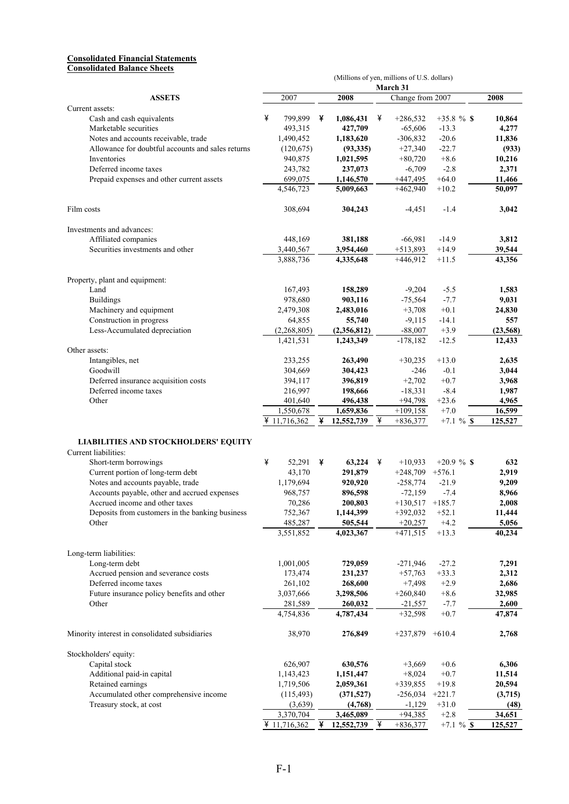#### **Consolidated Financial Statements Consolidated Balance Sheets**

| (Millions of yen, millions of U.S. dollars)                  |   |                           |   |                         |   |                              |                        |                   |
|--------------------------------------------------------------|---|---------------------------|---|-------------------------|---|------------------------------|------------------------|-------------------|
| <b>ASSETS</b>                                                |   | 2007                      |   | 2008                    |   | March 31<br>Change from 2007 |                        | 2008              |
| Current assets:                                              |   |                           |   |                         |   |                              |                        |                   |
| Cash and cash equivalents                                    | ¥ | 799,899                   | ¥ | 1,086,431               | ¥ | $+286,532$                   | $+35.8 \%$ \$          | 10,864            |
| Marketable securities                                        |   | 493,315                   |   | 427,709                 |   | $-65,606$                    | $-13.3$                | 4,277             |
| Notes and accounts receivable, trade                         |   | 1,490,452                 |   | 1,183,620               |   | $-306,832$                   | $-20.6$                | 11,836            |
| Allowance for doubtful accounts and sales returns            |   | (120, 675)                |   | (93, 335)               |   | $+27,340$                    | $-22.7$                | (933)             |
| Inventories                                                  |   | 940,875                   |   | 1,021,595               |   | $+80,720$                    | $+8.6$                 | 10,216            |
| Deferred income taxes                                        |   | 243,782                   |   | 237,073                 |   | $-6,709$                     | $-2.8$                 | 2,371             |
| Prepaid expenses and other current assets                    |   | 699.075                   |   | 1,146,570               |   | $+447,495$                   | $+64.0$                | 11,466            |
|                                                              |   | 4,546,723                 |   | 5,009,663               |   | $+462,940$                   | $+10.2$                | 50,097            |
| Film costs                                                   |   | 308,694                   |   | 304,243                 |   | -4,451                       | $-1.4$                 | 3,042             |
| Investments and advances:                                    |   |                           |   |                         |   |                              |                        |                   |
| Affiliated companies                                         |   | 448,169                   |   | 381,188                 |   | $-66,981$                    | $-14.9$                | 3,812             |
| Securities investments and other                             |   | 3,440,567                 |   | 3,954,460               |   | $+513,893$                   | $+14.9$                | 39,544            |
|                                                              |   | 3,888,736                 |   | 4,335,648               |   | $+446,912$                   | $+11.5$                | 43,356            |
| Property, plant and equipment:                               |   |                           |   |                         |   |                              |                        |                   |
| Land                                                         |   | 167,493                   |   | 158,289                 |   | $-9,204$                     | $-5.5$                 | 1,583             |
| <b>Buildings</b>                                             |   | 978,680                   |   | 903,116                 |   | $-75,564$                    | $-7.7$                 | 9,031             |
| Machinery and equipment                                      |   | 2,479,308                 |   | 2,483,016               |   | $+3,708$                     | $+0.1$                 | 24,830            |
| Construction in progress                                     |   | 64,855                    |   | 55,740                  |   | $-9,115$                     | $-14.1$                | 557               |
| Less-Accumulated depreciation                                |   | (2,268,805)               |   | (2,356,812)             |   | $-88,007$                    | $+3.9$                 | (23, 568)         |
|                                                              |   | 1,421,531                 |   | 1,243,349               |   | $-178,182$                   | $-12.5$                | 12,433            |
| Other assets:                                                |   |                           |   |                         |   |                              |                        |                   |
|                                                              |   |                           |   | 263,490                 |   |                              | $+13.0$                | 2,635             |
| Intangibles, net<br>Goodwill                                 |   | 233,255<br>304,669        |   |                         |   | $+30,235$<br>$-246$          | $-0.1$                 | 3,044             |
|                                                              |   |                           |   | 304,423                 |   |                              |                        |                   |
| Deferred insurance acquisition costs                         |   | 394,117                   |   | 396,819                 |   | $+2,702$                     | $+0.7$                 | 3,968             |
| Deferred income taxes                                        |   | 216,997                   |   | 198,666                 |   | $-18,331$                    | $-8.4$                 | 1,987             |
| Other                                                        |   | 401,640                   |   | 496,438                 |   | $+94,798$                    | $+23.6$                | 4,965             |
|                                                              |   | 1,550,678<br>¥ 11,716,362 | ¥ | 1,659,836<br>12,552,739 | ¥ | $+109,158$<br>$+836,377$     | $+7.0$<br>$+7.1 \%$ \$ | 16,599<br>125,527 |
| LIABILITIES AND STOCKHOLDERS' EQUITY<br>Current liabilities: |   |                           |   |                         |   |                              |                        |                   |
| Short-term borrowings                                        | ¥ | 52,291                    | ¥ | 63,224                  | ¥ | $+10,933$                    | $+20.9 \%$ \$          | 632               |
| Current portion of long-term debt                            |   | 43,170                    |   | 291,879                 |   | $+248,709$                   | $+576.1$               | 2,919             |
| Notes and accounts payable, trade                            |   | 1,179,694                 |   | 920,920                 |   | $-258,774$                   | $-21.9$                | 9,209             |
| Accounts payable, other and accrued expenses                 |   | 968,757                   |   | 896,598                 |   | $-72,159$                    | $-7.4$                 | 8,966             |
| Accrued income and other taxes                               |   | 70,286                    |   | 200,803                 |   | $+130,517$                   | $+185.7$               | 2,008             |
| Deposits from customers in the banking business              |   | 752,367                   |   | 1,144,399               |   | $+392,032$                   | $+52.1$                | 11,444            |
| Other                                                        |   | 485,287                   |   | 505,544                 |   | $+20,257$                    | $+4.2$                 | 5,056             |
|                                                              |   | 3,551,852                 |   | 4,023,367               |   | $+471,515$                   | $+13.3$                | 40,234            |
| Long-term liabilities:                                       |   |                           |   |                         |   |                              |                        |                   |
| Long-term debt                                               |   | 1,001,005                 |   | 729,059                 |   | $-271,946$                   | $-27.2$                | 7,291             |
| Accrued pension and severance costs                          |   | 173,474                   |   | 231,237                 |   | $+57,763$                    | $+33.3$                | 2,312             |
| Deferred income taxes                                        |   | 261,102                   |   | 268,600                 |   | $+7,498$                     | $+2.9$                 | 2,686             |
| Future insurance policy benefits and other                   |   | 3,037,666                 |   | 3,298,506               |   | $+260,840$                   | $+8.6$                 | 32,985            |
| Other                                                        |   | 281,589                   |   | 260,032                 |   | $-21,557$                    | $-7.7$                 | 2,600             |
|                                                              |   | 4,754,836                 |   | 4,787,434               |   | $+32,598$                    | $+0.7$                 | 47,874            |
| Minority interest in consolidated subsidiaries               |   | 38,970                    |   | 276,849                 |   | $+237,879$ $+610.4$          |                        | 2,768             |
| Stockholders' equity:                                        |   |                           |   |                         |   |                              |                        |                   |
| Capital stock                                                |   | 626,907                   |   | 630,576                 |   | $+3,669$                     | $+0.6$                 | 6,306             |
| Additional paid-in capital                                   |   | 1,143,423                 |   | 1,151,447               |   | $+8,024$                     | $+0.7$                 | 11,514            |
| Retained earnings                                            |   | 1,719,506                 |   | 2,059,361               |   | $+339,855$                   | $+19.8$                | 20,594            |
| Accumulated other comprehensive income                       |   | (115, 493)                |   | (371, 527)              |   | $-256,034$                   | $+221.7$               | (3,715)           |
| Treasury stock, at cost                                      |   | (3,639)                   |   | (4,768)                 |   | $-1,129$                     | $+31.0$                | (48)              |
|                                                              |   | 3,370,704                 |   | 3,465,089               |   | $+94,385$                    | $+2.8$                 | 34,651            |
|                                                              |   | ¥ 11,716,362              | ¥ | 12,552,739              | ¥ | $+836,377$                   | $+7.1 \%$ \$           | 125,527           |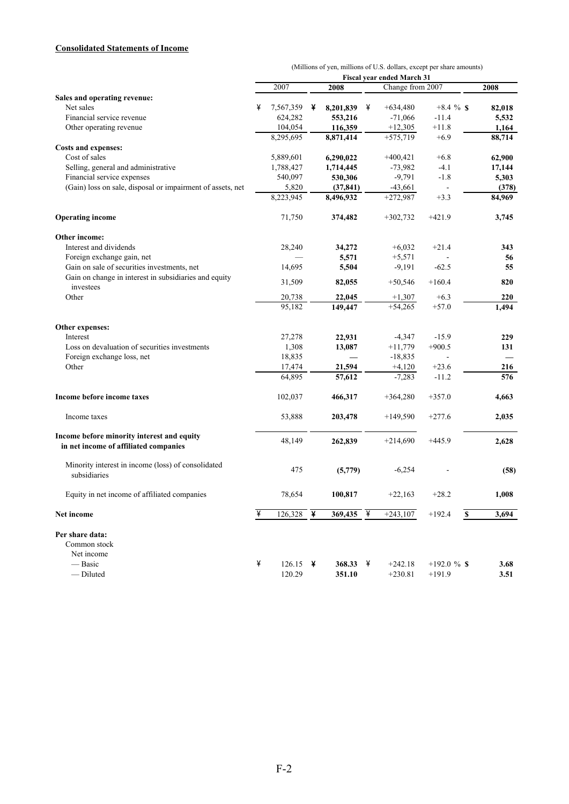#### **Consolidated Statements of Income**

|                                                                                     | (Millions of yen, millions of U.S. dollars, except per share amounts) |                      |   |                          |   |                                                |                          |        |
|-------------------------------------------------------------------------------------|-----------------------------------------------------------------------|----------------------|---|--------------------------|---|------------------------------------------------|--------------------------|--------|
|                                                                                     |                                                                       | 2007                 |   | 2008                     |   | Fiscal year ended March 31<br>Change from 2007 |                          | 2008   |
| Sales and operating revenue:                                                        |                                                                       |                      |   |                          |   |                                                |                          |        |
| Net sales                                                                           | ¥                                                                     | 7,567,359            | ¥ | 8,201,839                | ¥ | $+634,480$                                     | $+8.4 \%$ \$             | 82,018 |
| Financial service revenue                                                           |                                                                       | 624,282              |   | 553,216                  |   | $-71,066$                                      | $-11.4$                  | 5,532  |
| Other operating revenue                                                             |                                                                       | 104,054              |   | 116,359                  |   | $+12,305$                                      | $+11.8$                  | 1,164  |
|                                                                                     |                                                                       | 8,295,695            |   | 8,871,414                |   | $+575,719$                                     | $+6.9$                   | 88,714 |
| <b>Costs and expenses:</b>                                                          |                                                                       |                      |   |                          |   |                                                |                          |        |
| Cost of sales                                                                       |                                                                       | 5,889,601            |   | 6,290,022                |   | $+400,421$                                     | $+6.8$                   | 62,900 |
| Selling, general and administrative                                                 |                                                                       | 1,788,427            |   | 1,714,445                |   | $-73,982$                                      | $-4.1$                   | 17,144 |
| Financial service expenses                                                          |                                                                       | 540,097              |   | 530,306                  |   | $-9,791$                                       | $-1.8$                   | 5,303  |
| (Gain) loss on sale, disposal or impairment of assets, net                          |                                                                       | 5,820                |   | (37, 841)                |   | $-43,661$                                      | $\overline{\phantom{a}}$ | (378)  |
|                                                                                     |                                                                       | 8,223,945            |   | 8,496,932                |   | $+272,987$                                     | $+3.3$                   | 84,969 |
| <b>Operating income</b>                                                             |                                                                       | 71,750               |   | 374,482                  |   | $+302,732$                                     | $+421.9$                 | 3,745  |
| Other income:                                                                       |                                                                       |                      |   |                          |   |                                                |                          |        |
| Interest and dividends                                                              |                                                                       | 28,240               |   | 34,272                   |   | $+6,032$                                       | $+21.4$                  | 343    |
| Foreign exchange gain, net                                                          |                                                                       |                      |   | 5,571                    |   | $+5,571$                                       |                          | 56     |
| Gain on sale of securities investments, net                                         |                                                                       | 14,695               |   | 5,504                    |   | $-9,191$                                       | $-62.5$                  | 55     |
| Gain on change in interest in subsidiaries and equity<br>investees                  |                                                                       | 31,509               |   | 82,055                   |   | $+50,546$                                      | $+160.4$                 | 820    |
| Other                                                                               |                                                                       | 20,738               |   | 22,045                   |   | $+1,307$                                       | $+6.3$                   | 220    |
|                                                                                     |                                                                       | 95,182               |   | 149,447                  |   | $+54,265$                                      | $+57.0$                  | 1,494  |
| Other expenses:                                                                     |                                                                       |                      |   |                          |   |                                                |                          |        |
| Interest                                                                            |                                                                       | 27,278               |   | 22,931                   |   | $-4,347$                                       | $-15.9$                  | 229    |
| Loss on devaluation of securities investments                                       |                                                                       | 1,308                |   | 13,087                   |   | $+11,779$                                      | $+900.5$                 | 131    |
| Foreign exchange loss, net                                                          |                                                                       | 18,835               |   | $\overline{\phantom{0}}$ |   | $-18,835$                                      |                          |        |
| Other                                                                               |                                                                       | 17,474               |   | 21,594                   |   | $+4,120$                                       | $+23.6$                  | 216    |
|                                                                                     |                                                                       | 64,895               |   | 57,612                   |   | $-7,283$                                       | $-11.2$                  | 576    |
| Income before income taxes                                                          |                                                                       | 102,037              |   | 466,317                  |   | $+364,280$                                     | $+357.0$                 | 4,663  |
| Income taxes                                                                        |                                                                       | 53,888               |   | 203,478                  |   | $+149,590$                                     | $+277.6$                 | 2,035  |
| Income before minority interest and equity<br>in net income of affiliated companies |                                                                       | 48,149               |   | 262,839                  |   | $+214.690$                                     | $+445.9$                 | 2,628  |
| Minority interest in income (loss) of consolidated<br>subsidiaries                  |                                                                       | 475                  |   | (5,779)                  |   | $-6,254$                                       |                          | (58)   |
| Equity in net income of affiliated companies                                        |                                                                       | 78,654               |   | 100,817                  |   | $+22,163$                                      | $+28.2$                  | 1,008  |
| Net income                                                                          | ¥                                                                     | $\frac{126,328}{4}$  |   | $369,435$ ¥              |   | $+243,107$                                     | $+192.4$<br>$\mathbf S$  | 3,694  |
| Per share data:<br>Common stock<br>Net income                                       |                                                                       |                      |   |                          |   |                                                |                          |        |
| — Basic                                                                             | ¥                                                                     | 126.15 $\frac{1}{2}$ |   | 368.33                   | ¥ | $+242.18$                                      | $+192.0 \%$ \$           | 3.68   |
| - Diluted                                                                           |                                                                       | 120.29               |   | 351.10                   |   | $+230.81$                                      | $+191.9$                 | 3.51   |

F-2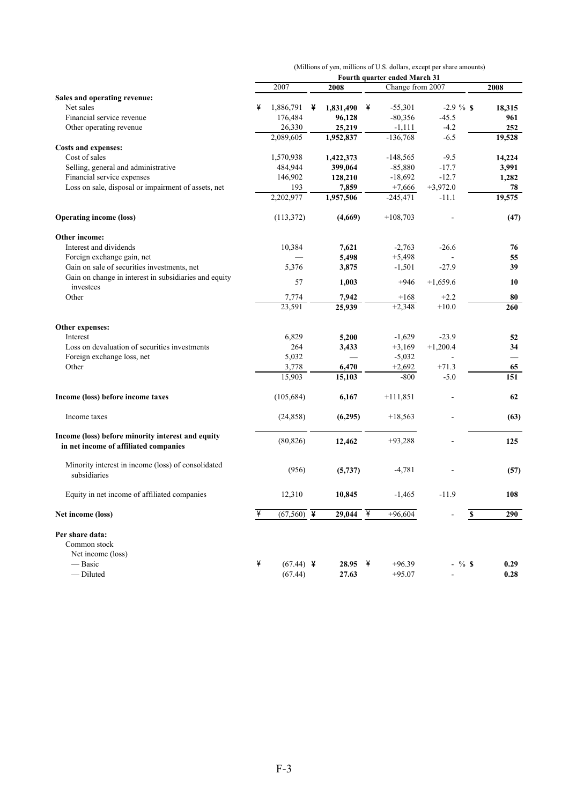|                                                                                            | (Millions of yen, millions of U.S. dollars, except per share amounts) |                         |   |           |   |                               |                          |                          |  |  |
|--------------------------------------------------------------------------------------------|-----------------------------------------------------------------------|-------------------------|---|-----------|---|-------------------------------|--------------------------|--------------------------|--|--|
|                                                                                            |                                                                       |                         |   |           |   | Fourth quarter ended March 31 |                          |                          |  |  |
|                                                                                            |                                                                       | 2007                    |   | 2008      |   | Change from 2007              |                          | 2008                     |  |  |
| Sales and operating revenue:                                                               |                                                                       |                         |   |           |   |                               |                          |                          |  |  |
| Net sales                                                                                  | ¥                                                                     | 1,886,791               | ¥ | 1,831,490 | ¥ | $-55,301$                     | $-2.9 \%$ \$             | 18,315                   |  |  |
| Financial service revenue                                                                  |                                                                       | 176,484                 |   | 96,128    |   | $-80,356$                     | $-45.5$                  | 961                      |  |  |
| Other operating revenue                                                                    |                                                                       | 26,330<br>2,089,605     |   | 25,219    |   | $-1,111$<br>$-136,768$        | $-4.2$<br>$-6.5$         | 252                      |  |  |
| Costs and expenses:                                                                        |                                                                       |                         |   | 1,952,837 |   |                               |                          | 19,528                   |  |  |
| Cost of sales                                                                              |                                                                       | 1,570,938               |   | 1,422,373 |   | $-148,565$                    | $-9.5$                   | 14,224                   |  |  |
| Selling, general and administrative                                                        |                                                                       | 484,944                 |   | 399,064   |   | $-85,880$                     | $-17.7$                  | 3,991                    |  |  |
| Financial service expenses                                                                 |                                                                       | 146,902                 |   | 128,210   |   | $-18,692$                     | $-12.7$                  | 1,282                    |  |  |
| Loss on sale, disposal or impairment of assets, net                                        |                                                                       | 193                     |   | 7,859     |   | $+7,666$                      | $+3,972.0$               | 78                       |  |  |
|                                                                                            |                                                                       | 2,202,977               |   | 1,957,506 |   | $-245,471$                    | $-11.1$                  | 19,575                   |  |  |
| <b>Operating income (loss)</b>                                                             |                                                                       | (113, 372)              |   | (4,669)   |   | $+108,703$                    |                          | (47)                     |  |  |
| Other income:                                                                              |                                                                       |                         |   |           |   |                               |                          |                          |  |  |
| Interest and dividends                                                                     |                                                                       | 10,384                  |   | 7,621     |   | $-2,763$                      | $-26.6$                  | 76                       |  |  |
| Foreign exchange gain, net                                                                 |                                                                       |                         |   | 5,498     |   | $+5,498$                      |                          | 55                       |  |  |
| Gain on sale of securities investments, net                                                |                                                                       | 5,376                   |   | 3,875     |   | $-1,501$                      | $-27.9$                  | 39                       |  |  |
| Gain on change in interest in subsidiaries and equity<br>investees                         |                                                                       | 57                      |   | 1,003     |   | $+946$                        | $+1,659.6$               | 10                       |  |  |
| Other                                                                                      |                                                                       | 7,774                   |   | 7,942     |   | $+168$                        | $+2.2$                   | 80                       |  |  |
|                                                                                            |                                                                       | 23,591                  |   | 25,939    |   | $+2,348$                      | $+10.0$                  | 260                      |  |  |
| Other expenses:                                                                            |                                                                       |                         |   |           |   |                               |                          |                          |  |  |
| Interest                                                                                   |                                                                       | 6,829                   |   | 5,200     |   | $-1,629$                      | $-23.9$                  | 52                       |  |  |
| Loss on devaluation of securities investments                                              |                                                                       | 264                     |   | 3,433     |   | $+3,169$                      | $+1,200.4$               | 34                       |  |  |
| Foreign exchange loss, net                                                                 |                                                                       | 5,032                   |   |           |   | $-5,032$                      |                          | $\overline{\phantom{0}}$ |  |  |
| Other                                                                                      |                                                                       | 3,778                   |   | 6,470     |   | $+2,692$                      | $+71.3$                  | 65                       |  |  |
|                                                                                            |                                                                       | 15,903                  |   | 15,103    |   | $-800$                        | $-5.0$                   | 151                      |  |  |
| Income (loss) before income taxes                                                          |                                                                       | (105, 684)              |   | 6,167     |   | $+111,851$                    |                          | 62                       |  |  |
| Income taxes                                                                               |                                                                       | (24, 858)               |   | (6,295)   |   | $+18,563$                     |                          | (63)                     |  |  |
| Income (loss) before minority interest and equity<br>in net income of affiliated companies |                                                                       | (80, 826)               |   | 12,462    |   | $+93,288$                     |                          | 125                      |  |  |
| Minority interest in income (loss) of consolidated<br>subsidiaries                         |                                                                       | (956)                   |   | (5,737)   |   | $-4,781$                      |                          | (57)                     |  |  |
| Equity in net income of affiliated companies                                               |                                                                       | 12,310                  |   | 10,845    |   | $-1,465$                      | $-11.9$                  | 108                      |  |  |
| Net income (loss)                                                                          | ¥                                                                     | $\overline{(67,560)}$ ¥ |   | 29,044    | ¥ | $+96,604$                     | S                        | 290                      |  |  |
| Per share data:<br>Common stock<br>Net income (loss)                                       |                                                                       |                         |   |           |   |                               |                          |                          |  |  |
| — Basic                                                                                    | ¥                                                                     | $(67.44)$ ¥             |   | 28.95     | ¥ | $+96.39$                      | $-$ % \$                 | 0.29                     |  |  |
| $-$ Diluted                                                                                |                                                                       | (67.44)                 |   | 27.63     |   | $+95.07$                      | $\overline{\phantom{a}}$ | 0.28                     |  |  |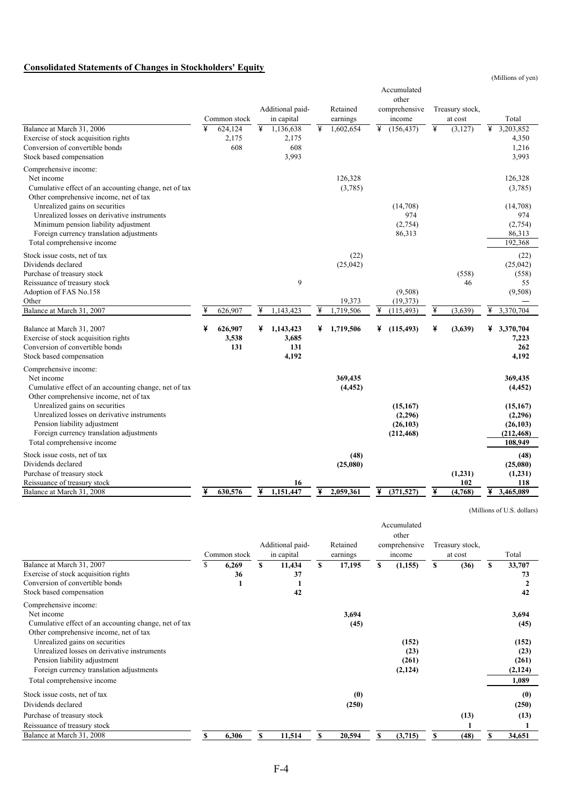#### **Consolidated Statements of Changes in Stockholders' Equity**

(Millions of yen)

|                                                                                                                                                                                                 |   | Common stock            |   | Additional paid-<br>in capital     |   | Retained<br>earnings |   | Accumulated<br>other<br>comprehensive<br>income |   | Treasury stock,<br>at cost |   | Total                                                      |
|-------------------------------------------------------------------------------------------------------------------------------------------------------------------------------------------------|---|-------------------------|---|------------------------------------|---|----------------------|---|-------------------------------------------------|---|----------------------------|---|------------------------------------------------------------|
| Balance at March 31, 2006<br>Exercise of stock acquisition rights<br>Conversion of convertible bonds<br>Stock based compensation                                                                | ¥ | 624,124<br>2,175<br>608 | ¥ | 1,136,638<br>2,175<br>608<br>3,993 | ¥ | 1,602,654            | ¥ | (156, 437)                                      | ¥ | (3,127)                    | ¥ | 3,203,852<br>4,350<br>1,216<br>3,993                       |
| Comprehensive income:<br>Net income<br>Cumulative effect of an accounting change, net of tax<br>Other comprehensive income, net of tax                                                          |   |                         |   |                                    |   | 126,328<br>(3,785)   |   |                                                 |   |                            |   | 126,328<br>(3,785)                                         |
| Unrealized gains on securities<br>Unrealized losses on derivative instruments<br>Minimum pension liability adjustment<br>Foreign currency translation adjustments<br>Total comprehensive income |   |                         |   |                                    |   |                      |   | (14,708)<br>974<br>(2,754)<br>86,313            |   |                            |   | (14,708)<br>974<br>(2,754)<br>86,313<br>192,368            |
| Stock issue costs, net of tax<br>Dividends declared<br>Purchase of treasury stock<br>Reissuance of treasury stock<br>Adoption of FAS No.158                                                     |   |                         |   | 9                                  |   | (22)<br>(25,042)     |   | (9,508)                                         |   | (558)<br>46                |   | (22)<br>(25,042)<br>(558)<br>55<br>(9,508)                 |
| Other<br>Balance at March 31, 2007                                                                                                                                                              | ¥ | 626,907                 | ¥ | 1,143,423                          | ¥ | 19,373<br>1,719,506  |   | (19,373)<br>(115, 493)                          | ¥ | (3,639)                    | ¥ | 3,370,704                                                  |
| Balance at March 31, 2007<br>Exercise of stock acquisition rights<br>Conversion of convertible bonds<br>Stock based compensation                                                                | ¥ | 626,907<br>3,538<br>131 | ¥ | 1,143,423<br>3,685<br>131<br>4,192 | ¥ | 1,719,506            | ¥ | (115, 493)                                      | ¥ | (3,639)                    | ¥ | 3,370,704<br>7,223<br>262<br>4,192                         |
| Comprehensive income:<br>Net income<br>Cumulative effect of an accounting change, net of tax<br>Other comprehensive income, net of tax                                                          |   |                         |   |                                    |   | 369,435<br>(4, 452)  |   |                                                 |   |                            |   | 369,435<br>(4, 452)                                        |
| Unrealized gains on securities<br>Unrealized losses on derivative instruments<br>Pension liability adjustment<br>Foreign currency translation adjustments<br>Total comprehensive income         |   |                         |   |                                    |   |                      |   | (15, 167)<br>(2,296)<br>(26, 103)<br>(212, 468) |   |                            |   | (15, 167)<br>(2,296)<br>(26, 103)<br>(212, 468)<br>108,949 |
| Stock issue costs, net of tax<br>Dividends declared<br>Purchase of treasury stock<br>Reissuance of treasury stock                                                                               |   |                         |   | 16                                 |   | (48)<br>(25,080)     |   |                                                 |   | (1,231)<br>102             |   | (48)<br>(25,080)<br>(1,231)<br>118                         |
| Balance at March 31, 2008                                                                                                                                                                       | ¥ | 630,576                 | ¥ | 1,151,447                          | ¥ | 2,059,361            | ¥ | (371, 527)                                      | ¥ | (4,768)                    | ¥ | 3,465,089                                                  |

(Millions of U.S. dollars)

|                                                                                                                                                           | Common stock     |     | Additional paid-<br>in capital |     | Retained<br>earnings |    | Accumulated<br>other<br>comprehensive<br>income |   | Treasury stock.<br>at cost |    | Total                             |
|-----------------------------------------------------------------------------------------------------------------------------------------------------------|------------------|-----|--------------------------------|-----|----------------------|----|-------------------------------------------------|---|----------------------------|----|-----------------------------------|
| Balance at March 31, 2007<br>Exercise of stock acquisition rights<br>Conversion of convertible bonds<br>Stock based compensation                          | 6,269<br>36<br>1 | \$. | 11,434<br>37<br>1<br>42        | S.  | 17,195               | S  | (1,155)                                         | S | (36)                       | S  | 33,707<br>73<br>42                |
| Comprehensive income:<br>Net income<br>Cumulative effect of an accounting change, net of tax<br>Other comprehensive income, net of tax                    |                  |     |                                |     | 3,694<br>(45)        |    |                                                 |   |                            |    | 3,694<br>(45)                     |
| Unrealized gains on securities<br>Unrealized losses on derivative instruments<br>Pension liability adjustment<br>Foreign currency translation adjustments |                  |     |                                |     |                      |    | (152)<br>(23)<br>(261)<br>(2,124)               |   |                            |    | (152)<br>(23)<br>(261)<br>(2,124) |
| Total comprehensive income                                                                                                                                |                  |     |                                |     |                      |    |                                                 |   |                            |    | 1,089                             |
| Stock issue costs, net of tax<br>Dividends declared<br>Purchase of treasury stock<br>Reissuance of treasury stock                                         |                  |     |                                |     | (0)<br>(250)         |    |                                                 |   | (13)                       |    | (0)<br>(250)<br>(13)              |
| Balance at March 31, 2008                                                                                                                                 | 6,306            | \$  | 11,514                         | \$. | 20,594               | \$ | (3,715)                                         | S | (48)                       | \$ | 34,651                            |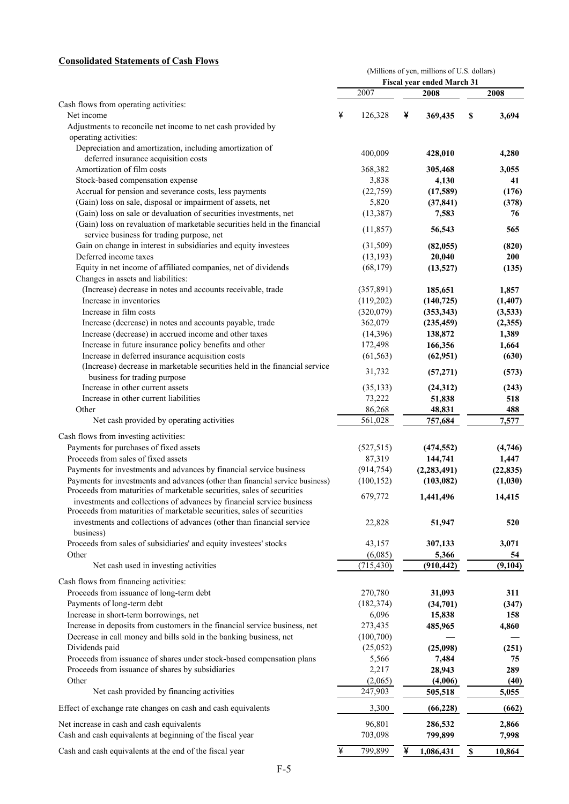#### **Consolidated Statements of Cash Flows**

|                                                                                                                                                 |              |   | (Millions of yen, millions of U.S. dollars) |             |            |
|-------------------------------------------------------------------------------------------------------------------------------------------------|--------------|---|---------------------------------------------|-------------|------------|
|                                                                                                                                                 | 2007         |   | Fiscal year ended March 31<br>2008          |             | 2008       |
| Cash flows from operating activities:                                                                                                           |              |   |                                             |             |            |
| Net income                                                                                                                                      | ¥<br>126,328 | ¥ | 369,435                                     | \$          | 3,694      |
| Adjustments to reconcile net income to net cash provided by                                                                                     |              |   |                                             |             |            |
| operating activities:                                                                                                                           |              |   |                                             |             |            |
| Depreciation and amortization, including amortization of                                                                                        | 400,009      |   |                                             |             |            |
| deferred insurance acquisition costs                                                                                                            |              |   | 428,010                                     |             | 4,280      |
| Amortization of film costs                                                                                                                      | 368,382      |   | 305,468                                     |             | 3,055      |
| Stock-based compensation expense                                                                                                                | 3,838        |   | 4,130                                       |             | 41         |
| Accrual for pension and severance costs, less payments                                                                                          | (22, 759)    |   | (17,589)                                    |             | (176)      |
| (Gain) loss on sale, disposal or impairment of assets, net                                                                                      | 5,820        |   | (37, 841)                                   |             | (378)      |
| (Gain) loss on sale or devaluation of securities investments, net<br>(Gain) loss on revaluation of marketable securities held in the financial  | (13, 387)    |   | 7,583                                       |             | 76         |
| service business for trading purpose, net                                                                                                       | (11, 857)    |   | 56,543                                      |             | 565        |
| Gain on change in interest in subsidiaries and equity investees                                                                                 | (31,509)     |   | (82, 055)                                   |             | (820)      |
| Deferred income taxes                                                                                                                           | (13, 193)    |   | 20,040                                      |             | <b>200</b> |
| Equity in net income of affiliated companies, net of dividends                                                                                  | (68, 179)    |   | (13,527)                                    |             | (135)      |
| Changes in assets and liabilities:                                                                                                              |              |   |                                             |             |            |
| (Increase) decrease in notes and accounts receivable, trade                                                                                     | (357, 891)   |   | 185,651                                     |             | 1,857      |
| Increase in inventories                                                                                                                         | (119,202)    |   | (140, 725)                                  |             | (1,407)    |
| Increase in film costs                                                                                                                          | (320,079)    |   | (353, 343)                                  |             | (3,533)    |
| Increase (decrease) in notes and accounts payable, trade                                                                                        | 362,079      |   | (235, 459)                                  |             | (2,355)    |
| Increase (decrease) in accrued income and other taxes                                                                                           | (14,396)     |   | 138,872                                     |             | 1,389      |
| Increase in future insurance policy benefits and other                                                                                          | 172,498      |   | 166,356                                     |             | 1,664      |
| Increase in deferred insurance acquisition costs                                                                                                | (61, 563)    |   | (62, 951)                                   |             | (630)      |
| (Increase) decrease in marketable securities held in the financial service<br>business for trading purpose                                      | 31,732       |   | (57,271)                                    |             | (573)      |
| Increase in other current assets                                                                                                                | (35, 133)    |   | (24,312)                                    |             | (243)      |
| Increase in other current liabilities                                                                                                           | 73,222       |   | 51,838                                      |             | 518        |
| Other                                                                                                                                           | 86,268       |   | 48,831                                      |             | 488        |
| Net cash provided by operating activities                                                                                                       | 561,028      |   | 757,684                                     |             | 7,577      |
| Cash flows from investing activities:                                                                                                           |              |   |                                             |             |            |
| Payments for purchases of fixed assets                                                                                                          | (527, 515)   |   | (474, 552)                                  |             | (4,746)    |
| Proceeds from sales of fixed assets                                                                                                             | 87,319       |   | 144,741                                     |             | 1,447      |
| Payments for investments and advances by financial service business                                                                             | (914, 754)   |   | (2, 283, 491)                               |             | (22, 835)  |
| Payments for investments and advances (other than financial service business)                                                                   | (100, 152)   |   | (103, 082)                                  |             | (1,030)    |
| Proceeds from maturities of marketable securities, sales of securities                                                                          | 679,772      |   | 1,441,496                                   |             | 14,415     |
| investments and collections of advances by financial service business<br>Proceeds from maturities of marketable securities, sales of securities |              |   |                                             |             |            |
| investments and collections of advances (other than financial service<br>business)                                                              | 22,828       |   | 51,947                                      |             | 520        |
| Proceeds from sales of subsidiaries' and equity investees' stocks                                                                               | 43,157       |   | 307,133                                     |             | 3,071      |
| Other                                                                                                                                           | (6,085)      |   | 5,366                                       |             | 54         |
| Net cash used in investing activities                                                                                                           | (715, 430)   |   | (910, 442)                                  |             | (9,104)    |
| Cash flows from financing activities:                                                                                                           |              |   |                                             |             |            |
| Proceeds from issuance of long-term debt                                                                                                        | 270,780      |   | 31,093                                      |             | 311        |
| Payments of long-term debt                                                                                                                      | (182, 374)   |   | (34,701)                                    |             | (347)      |
| Increase in short-term borrowings, net                                                                                                          | 6,096        |   | 15,838                                      |             | 158        |
| Increase in deposits from customers in the financial service business, net                                                                      | 273,435      |   | 485,965                                     |             | 4,860      |
| Decrease in call money and bills sold in the banking business, net                                                                              | (100, 700)   |   |                                             |             |            |
| Dividends paid                                                                                                                                  | (25,052)     |   | (25,098)                                    |             | (251)      |
| Proceeds from issuance of shares under stock-based compensation plans                                                                           | 5,566        |   | 7,484                                       |             | 75         |
| Proceeds from issuance of shares by subsidiaries                                                                                                | 2,217        |   | 28,943                                      |             | 289        |
| Other                                                                                                                                           | (2,065)      |   | (4,006)                                     |             | (40)       |
| Net cash provided by financing activities                                                                                                       | 247,903      |   | 505,518                                     |             | 5,055      |
| Effect of exchange rate changes on cash and cash equivalents                                                                                    | 3,300        |   | (66, 228)                                   |             | (662)      |
| Net increase in cash and cash equivalents                                                                                                       | 96,801       |   | 286,532                                     |             | 2,866      |
| Cash and cash equivalents at beginning of the fiscal year                                                                                       | 703,098      |   | 799,899                                     |             | 7,998      |
| Cash and cash equivalents at the end of the fiscal year                                                                                         | ¥<br>799,899 | ¥ | 1,086,431                                   | $\mathbb S$ | 10,864     |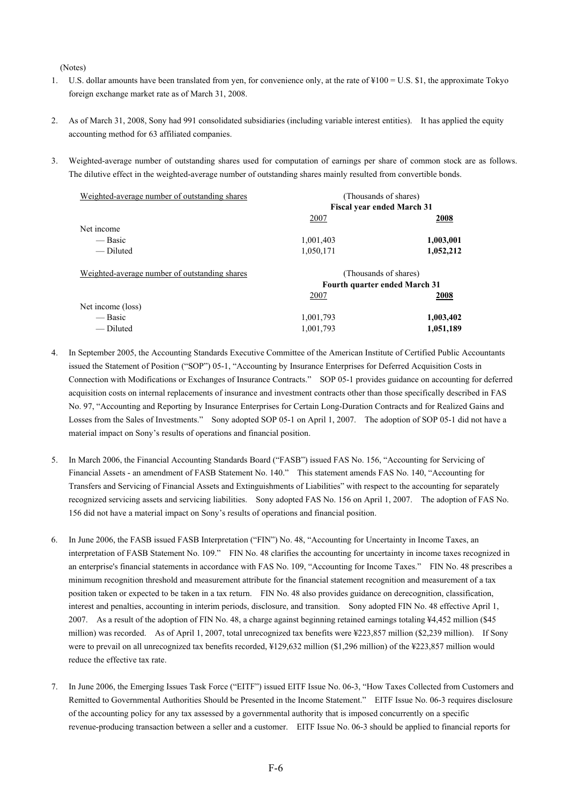(Notes)

- 1. U.S. dollar amounts have been translated from yen, for convenience only, at the rate of  $\frac{100}{9} = U.S.$  \$1, the approximate Tokyo foreign exchange market rate as of March 31, 2008.
- 2. As of March 31, 2008, Sony had 991 consolidated subsidiaries (including variable interest entities). It has applied the equity accounting method for 63 affiliated companies.
- 3. Weighted-average number of outstanding shares used for computation of earnings per share of common stock are as follows. The dilutive effect in the weighted-average number of outstanding shares mainly resulted from convertible bonds.

| Weighted-average number of outstanding shares |           | (Thousands of shares)             |
|-----------------------------------------------|-----------|-----------------------------------|
|                                               |           | <b>Fiscal year ended March 31</b> |
|                                               | 2007      | 2008                              |
| Net income                                    |           |                                   |
| — Basic                                       | 1,001,403 | 1,003,001                         |
| — Diluted                                     | 1,050,171 | 1,052,212                         |
| Weighted-average number of outstanding shares |           | (Thousands of shares)             |
|                                               |           | Fourth quarter ended March 31     |
|                                               | 2007      | 2008                              |
| Net income (loss)                             |           |                                   |
| — Basic                                       | 1,001,793 | 1,003,402                         |
| — Diluted                                     | 1,001,793 | 1,051,189                         |

- 4. In September 2005, the Accounting Standards Executive Committee of the American Institute of Certified Public Accountants issued the Statement of Position ("SOP") 05-1, "Accounting by Insurance Enterprises for Deferred Acquisition Costs in Connection with Modifications or Exchanges of Insurance Contracts." SOP 05-1 provides guidance on accounting for deferred acquisition costs on internal replacements of insurance and investment contracts other than those specifically described in FAS No. 97, "Accounting and Reporting by Insurance Enterprises for Certain Long-Duration Contracts and for Realized Gains and Losses from the Sales of Investments." Sony adopted SOP 05-1 on April 1, 2007. The adoption of SOP 05-1 did not have a material impact on Sony's results of operations and financial position.
- 5. In March 2006, the Financial Accounting Standards Board ("FASB") issued FAS No. 156, "Accounting for Servicing of Financial Assets - an amendment of FASB Statement No. 140." This statement amends FAS No. 140, "Accounting for Transfers and Servicing of Financial Assets and Extinguishments of Liabilities" with respect to the accounting for separately recognized servicing assets and servicing liabilities. Sony adopted FAS No. 156 on April 1, 2007. The adoption of FAS No. 156 did not have a material impact on Sony's results of operations and financial position.
- 6. In June 2006, the FASB issued FASB Interpretation ("FIN") No. 48, "Accounting for Uncertainty in Income Taxes, an interpretation of FASB Statement No. 109." FIN No. 48 clarifies the accounting for uncertainty in income taxes recognized in an enterprise's financial statements in accordance with FAS No. 109, "Accounting for Income Taxes." FIN No. 48 prescribes a minimum recognition threshold and measurement attribute for the financial statement recognition and measurement of a tax position taken or expected to be taken in a tax return. FIN No. 48 also provides guidance on derecognition, classification, interest and penalties, accounting in interim periods, disclosure, and transition. Sony adopted FIN No. 48 effective April 1, 2007. As a result of the adoption of FIN No. 48, a charge against beginning retained earnings totaling ¥4,452 million (\$45 million) was recorded. As of April 1, 2007, total unrecognized tax benefits were ¥223,857 million (\$2,239 million). If Sony were to prevail on all unrecognized tax benefits recorded, ¥129,632 million (\$1,296 million) of the ¥223,857 million would reduce the effective tax rate.
- 7. In June 2006, the Emerging Issues Task Force ("EITF") issued EITF Issue No. 06-3, "How Taxes Collected from Customers and Remitted to Governmental Authorities Should be Presented in the Income Statement." EITF Issue No. 06-3 requires disclosure of the accounting policy for any tax assessed by a governmental authority that is imposed concurrently on a specific revenue-producing transaction between a seller and a customer. EITF Issue No. 06-3 should be applied to financial reports for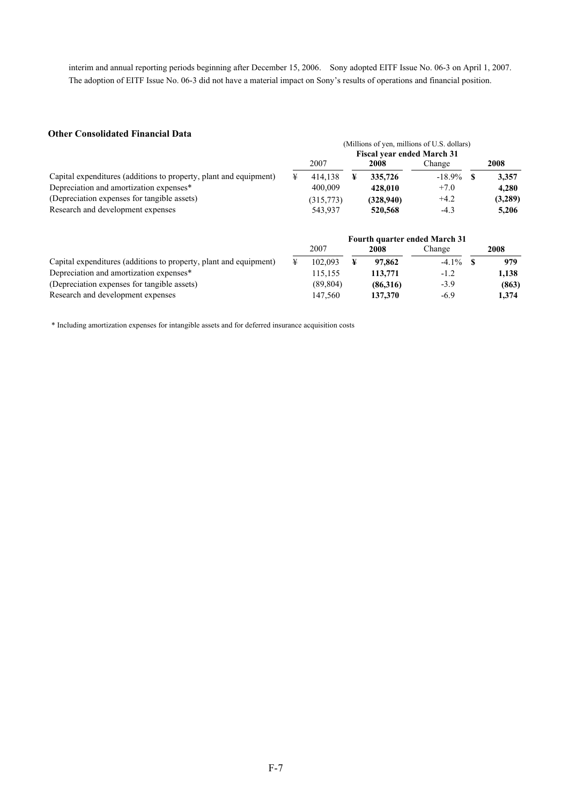interim and annual reporting periods beginning after December 15, 2006. Sony adopted EITF Issue No. 06-3 on April 1, 2007. The adoption of EITF Issue No. 06-3 did not have a material impact on Sony's results of operations and financial position.

#### **Other Consolidated Financial Data**

|                                                                   |                                   |           |  |           | (Millions of yen, millions of U.S. dollars) |  |         |  |  |
|-------------------------------------------------------------------|-----------------------------------|-----------|--|-----------|---------------------------------------------|--|---------|--|--|
|                                                                   | <b>Fiscal year ended March 31</b> |           |  |           |                                             |  |         |  |  |
|                                                                   |                                   | 2007      |  | 2008      | Change                                      |  | 2008    |  |  |
| Capital expenditures (additions to property, plant and equipment) |                                   | 414.138   |  | 335,726   | $-18.9\%$                                   |  | 3.357   |  |  |
| Depreciation and amortization expenses*                           |                                   | 400,009   |  | 428.010   | $+7.0$                                      |  | 4.280   |  |  |
| (Depreciation expenses for tangible assets)                       |                                   | (315,773) |  | (328,940) | $+4.2$                                      |  | (3,289) |  |  |
| Research and development expenses                                 |                                   | 543,937   |  | 520,568   | $-4.3$                                      |  | 5.206   |  |  |

|                                                                   |  |          |          | <b>Fourth quarter ended March 31</b> |       |
|-------------------------------------------------------------------|--|----------|----------|--------------------------------------|-------|
|                                                                   |  | 2007     | 2008     | Change                               | 2008  |
| Capital expenditures (additions to property, plant and equipment) |  | 102.093  | 97,862   | $-4.1\%$                             | 979   |
| Depreciation and amortization expenses*                           |  | 115.155  | 113,771  | $-1.2$                               | 1,138 |
| (Depreciation expenses for tangible assets)                       |  | (89.804) | (86,316) | $-3.9$                               | (863) |
| Research and development expenses                                 |  | 147.560  | 137,370  | $-6.9$                               | 1.374 |

\* Including amortization expenses for intangible assets and for deferred insurance acquisition costs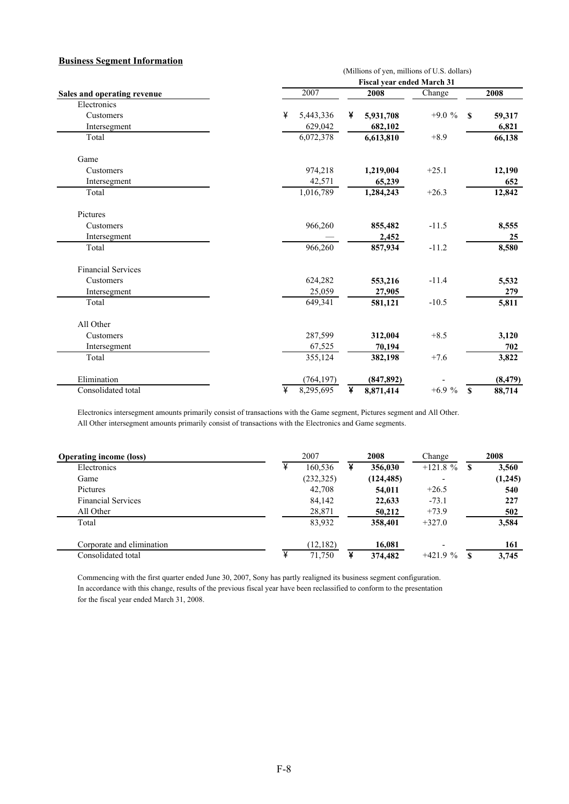#### **Business Segment Information**

| лаянсяя эсептент тигитой    |                  |                                                                                  |         |                        |  |  |  |  |  |  |  |  |
|-----------------------------|------------------|----------------------------------------------------------------------------------|---------|------------------------|--|--|--|--|--|--|--|--|
|                             |                  | (Millions of yen, millions of U.S. dollars)<br><b>Fiscal year ended March 31</b> |         |                        |  |  |  |  |  |  |  |  |
|                             |                  |                                                                                  |         |                        |  |  |  |  |  |  |  |  |
| Sales and operating revenue | $\frac{1}{2007}$ | 2008                                                                             | Change  | 2008                   |  |  |  |  |  |  |  |  |
| Electronics                 |                  |                                                                                  |         |                        |  |  |  |  |  |  |  |  |
| Customers                   | ¥<br>5,443,336   | 5,931,708<br>¥                                                                   | $+9.0%$ | 59,317<br><b>S</b>     |  |  |  |  |  |  |  |  |
| Intersegment                | 629,042          | 682,102                                                                          |         | 6,821                  |  |  |  |  |  |  |  |  |
| Total                       | 6,072,378        | 6,613,810                                                                        | $+8.9$  | 66,138                 |  |  |  |  |  |  |  |  |
| Game                        |                  |                                                                                  |         |                        |  |  |  |  |  |  |  |  |
| Customers                   | 974,218          | 1,219,004                                                                        | $+25.1$ | 12,190                 |  |  |  |  |  |  |  |  |
| Intersegment                | 42,571           | 65,239                                                                           |         | 652                    |  |  |  |  |  |  |  |  |
| Total                       | 1,016,789        | 1,284,243                                                                        | $+26.3$ | 12,842                 |  |  |  |  |  |  |  |  |
| Pictures                    |                  |                                                                                  |         |                        |  |  |  |  |  |  |  |  |
| Customers                   | 966,260          | 855,482                                                                          | $-11.5$ | 8,555                  |  |  |  |  |  |  |  |  |
| Intersegment                |                  | 2,452                                                                            |         | 25                     |  |  |  |  |  |  |  |  |
| Total                       | 966,260          | 857,934                                                                          | $-11.2$ | 8,580                  |  |  |  |  |  |  |  |  |
| <b>Financial Services</b>   |                  |                                                                                  |         |                        |  |  |  |  |  |  |  |  |
| Customers                   | 624,282          | 553,216                                                                          | $-11.4$ | 5,532                  |  |  |  |  |  |  |  |  |
| Intersegment                | 25,059           | 27,905                                                                           |         | 279                    |  |  |  |  |  |  |  |  |
| Total                       | 649,341          | 581,121                                                                          | $-10.5$ | 5,811                  |  |  |  |  |  |  |  |  |
| All Other                   |                  |                                                                                  |         |                        |  |  |  |  |  |  |  |  |
| Customers                   | 287,599          | 312,004                                                                          | $+8.5$  | 3,120                  |  |  |  |  |  |  |  |  |
| Intersegment                | 67,525           | 70,194                                                                           |         | 702                    |  |  |  |  |  |  |  |  |
| Total                       | 355,124          | 382,198                                                                          | $+7.6$  | 3,822                  |  |  |  |  |  |  |  |  |
| Elimination                 | (764, 197)       | (847, 892)                                                                       |         | (8, 479)               |  |  |  |  |  |  |  |  |
| Consolidated total          | ¥<br>8,295,695   | ¥<br>8,871,414                                                                   | $+6.9%$ | $\mathbf{s}$<br>88,714 |  |  |  |  |  |  |  |  |

Electronics intersegment amounts primarily consist of transactions with the Game segment, Pictures segment and All Other. All Other intersegment amounts primarily consist of transactions with the Electronics and Game segments.

| <b>Operating income (loss)</b> |   | 2007       | 2008       | Change                   |     | 2008    |
|--------------------------------|---|------------|------------|--------------------------|-----|---------|
| Electronics                    | ¥ | 160,536    | 356,030    | $+121.8 \%$              | \$. | 3,560   |
| Game                           |   | (232, 325) | (124, 485) | $\overline{\phantom{0}}$ |     | (1,245) |
| Pictures                       |   | 42,708     | 54,011     | $+26.5$                  |     | 540     |
| <b>Financial Services</b>      |   | 84,142     | 22,633     | $-73.1$                  |     | 227     |
| All Other                      |   | 28,871     | 50,212     | $+73.9$                  |     | 502     |
| Total                          |   | 83,932     | 358,401    | $+327.0$                 |     | 3,584   |
| Corporate and elimination      |   | (12, 182)  | 16,081     |                          |     | 161     |
| Consolidated total             | ¥ | 71,750     | 374,482    | $+421.9%$                | S   | 3,745   |

Commencing with the first quarter ended June 30, 2007, Sony has partly realigned its business segment configuration. In accordance with this change, results of the previous fiscal year have been reclassified to conform to the presentation for the fiscal year ended March 31, 2008.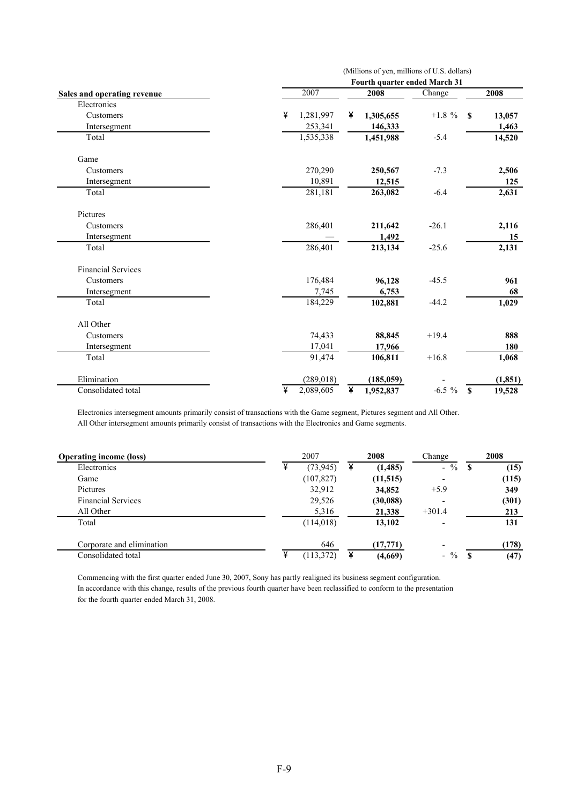|                             | (Millions of yen, millions of U.S. dollars)<br>Fourth quarter ended March 31 |                |           |                        |  |  |  |  |  |  |
|-----------------------------|------------------------------------------------------------------------------|----------------|-----------|------------------------|--|--|--|--|--|--|
| Sales and operating revenue | 2007                                                                         | 2008           | Change    | 2008                   |  |  |  |  |  |  |
| Electronics                 |                                                                              |                |           |                        |  |  |  |  |  |  |
| Customers                   | ¥<br>1,281,997                                                               | ¥<br>1,305,655 | $+1.8 \%$ | 13,057<br>S            |  |  |  |  |  |  |
| Intersegment                | 253,341                                                                      | 146,333        |           | 1,463                  |  |  |  |  |  |  |
| Total                       | 1,535,338                                                                    | 1,451,988      | $-5.4$    | 14,520                 |  |  |  |  |  |  |
| Game                        |                                                                              |                |           |                        |  |  |  |  |  |  |
| Customers                   | 270,290                                                                      | 250,567        | $-7.3$    | 2,506                  |  |  |  |  |  |  |
| Intersegment                | 10,891                                                                       | 12,515         |           | 125                    |  |  |  |  |  |  |
| Total                       | 281,181                                                                      | 263,082        | $-6.4$    | 2,631                  |  |  |  |  |  |  |
| Pictures                    |                                                                              |                |           |                        |  |  |  |  |  |  |
| Customers                   | 286,401                                                                      | 211,642        | $-26.1$   | 2,116                  |  |  |  |  |  |  |
| Intersegment                |                                                                              | 1,492          |           | 15                     |  |  |  |  |  |  |
| Total                       | 286,401                                                                      | 213,134        | $-25.6$   | 2,131                  |  |  |  |  |  |  |
| <b>Financial Services</b>   |                                                                              |                |           |                        |  |  |  |  |  |  |
| Customers                   | 176,484                                                                      | 96,128         | $-45.5$   | 961                    |  |  |  |  |  |  |
| Intersegment                | 7,745                                                                        | 6,753          |           | 68                     |  |  |  |  |  |  |
| Total                       | 184,229                                                                      | 102,881        | $-44.2$   | 1,029                  |  |  |  |  |  |  |
| All Other                   |                                                                              |                |           |                        |  |  |  |  |  |  |
| Customers                   | 74,433                                                                       | 88,845         | $+19.4$   | 888                    |  |  |  |  |  |  |
| Intersegment                | 17,041                                                                       | 17,966         |           | 180                    |  |  |  |  |  |  |
| Total                       | 91,474                                                                       | 106,811        | $+16.8$   | 1,068                  |  |  |  |  |  |  |
| Elimination                 | (289, 018)                                                                   | (185, 059)     |           | (1, 851)               |  |  |  |  |  |  |
| Consolidated total          | ¥<br>2,089,605                                                               | ¥<br>1,952,837 | $-6.5 \%$ | $\mathbf{s}$<br>19,528 |  |  |  |  |  |  |

Electronics intersegment amounts primarily consist of transactions with the Game segment, Pictures segment and All Other. All Other intersegment amounts primarily consist of transactions with the Electronics and Game segments.

| <b>Operating income (loss)</b> |   | 2007       | 2008      | Change                   |    | 2008  |
|--------------------------------|---|------------|-----------|--------------------------|----|-------|
| Electronics                    | ¥ | (73, 945)  | (1,485)   | $-$ %                    | S  | (15)  |
| Game                           |   | (107, 827) | (11, 515) | -                        |    | (115) |
| Pictures                       |   | 32,912     | 34,852    | $+5.9$                   |    | 349   |
| <b>Financial Services</b>      |   | 29,526     | (30,088)  |                          |    | (301) |
| All Other                      |   | 5,316      | 21,338    | $+301.4$                 |    | 213   |
| Total                          |   | (114,018)  | 13,102    |                          |    | 131   |
| Corporate and elimination      |   | 646        | (17,771)  | $\overline{\phantom{a}}$ |    | (178) |
| Consolidated total             | ¥ | (113, 372) | (4,669)   | $-$ %                    | -S | (47)  |

Commencing with the first quarter ended June 30, 2007, Sony has partly realigned its business segment configuration. In accordance with this change, results of the previous fourth quarter have been reclassified to conform to the presentation for the fourth quarter ended March 31, 2008.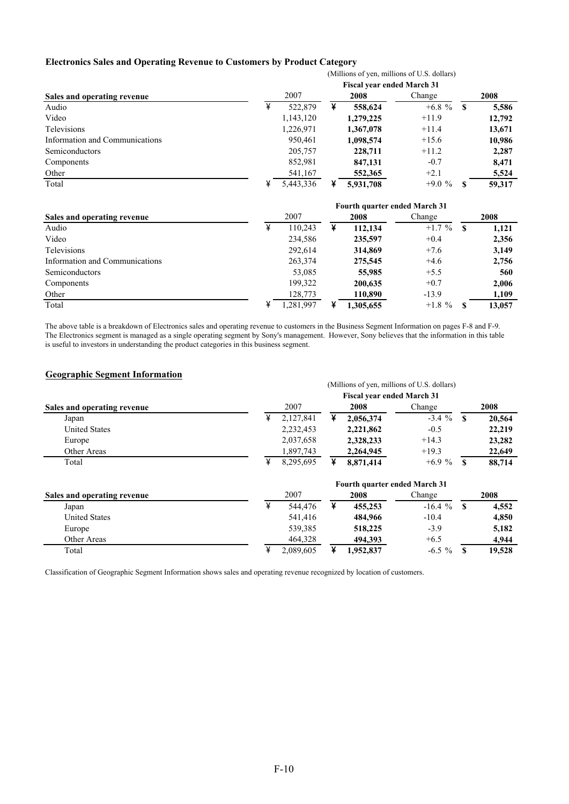#### **Electronics Sales and Operating Revenue to Customers by Product Category**

|                                | (Millions of yen, millions of U.S. dollars) |                                      |   |                                   |           |              |        |  |  |  |  |
|--------------------------------|---------------------------------------------|--------------------------------------|---|-----------------------------------|-----------|--------------|--------|--|--|--|--|
|                                |                                             |                                      |   | <b>Fiscal year ended March 31</b> |           |              |        |  |  |  |  |
| Sales and operating revenue    |                                             | 2007                                 |   | 2008                              | Change    |              | 2008   |  |  |  |  |
| Audio                          | ¥                                           | 522,879                              | ¥ | 558,624                           | $+6.8 \%$ | $\mathbf{s}$ | 5,586  |  |  |  |  |
| Video                          |                                             | 1,143,120                            |   | 1,279,225                         | $+11.9$   |              | 12,792 |  |  |  |  |
| Televisions                    |                                             | 1,226,971                            |   | 1,367,078                         | $+11.4$   |              | 13,671 |  |  |  |  |
| Information and Communications |                                             | 950,461                              |   | 1,098,574                         | $+15.6$   |              | 10,986 |  |  |  |  |
| Semiconductors                 |                                             | 205,757                              |   | 228,711                           | $+11.2$   |              | 2,287  |  |  |  |  |
| Components                     |                                             | 852,981                              |   | 847,131                           | $-0.7$    |              | 8,471  |  |  |  |  |
| Other                          |                                             | 541,167                              |   | 552,365                           | $+2.1$    |              | 5,524  |  |  |  |  |
| Total                          | ¥                                           | 5,443,336                            | ¥ | 5,931,708                         | $+9.0%$   | S            | 59,317 |  |  |  |  |
|                                |                                             | <b>Fourth quarter ended March 31</b> |   |                                   |           |              |        |  |  |  |  |
| Sales and operating revenue    |                                             | 2007                                 |   | 2008                              | Change    |              | 2008   |  |  |  |  |
| Audio                          | ¥                                           | 110,243                              | ¥ | 112,134                           | $+1.7 \%$ | $\mathbf{s}$ | 1,121  |  |  |  |  |
| Video                          |                                             | 234,586                              |   | 235,597                           | $+0.4$    |              | 2,356  |  |  |  |  |
| Televisions                    |                                             | 292,614                              |   | 314,869                           | $+7.6$    |              | 3,149  |  |  |  |  |
| Information and Communications |                                             | 263,374                              |   | 275,545                           | $+4.6$    |              | 2,756  |  |  |  |  |
| Semiconductors                 |                                             | 53,085                               |   | 55,985                            | $+5.5$    |              | 560    |  |  |  |  |
| Components                     |                                             | 199,322                              |   | 200,635                           | $+0.7$    |              | 2,006  |  |  |  |  |
| Other                          |                                             | 128,773                              |   | 110,890                           | $-13.9$   |              | 1,109  |  |  |  |  |
| Total                          | ¥                                           | 1,281,997                            | ¥ | 1,305,655                         | $+1.8 \%$ | \$           | 13,057 |  |  |  |  |

The above table is a breakdown of Electronics sales and operating revenue to customers in the Business Segment Information on pages F-8 and F-9. The Electronics segment is managed as a single operating segment by Sony's management. However, Sony believes that the information in this table is useful to investors in understanding the product categories in this business segment.

#### **Geographic Segment Information**

|                             |   |           |   |                                      | (Millions of yen, millions of U.S. dollars) |              |        |
|-----------------------------|---|-----------|---|--------------------------------------|---------------------------------------------|--------------|--------|
|                             |   |           |   | <b>Fiscal year ended March 31</b>    |                                             |              |        |
| Sales and operating revenue |   | 2007      |   | 2008                                 | Change                                      |              | 2008   |
| Japan                       | ¥ | 2,127,841 | ¥ | 2,056,374                            | $-3.4%$                                     | \$.          | 20,564 |
| <b>United States</b>        |   | 2,232,453 |   | 2,221,862                            | $-0.5$                                      |              | 22,219 |
| Europe                      |   | 2,037,658 |   | 2,328,233                            | $+14.3$                                     |              | 23,282 |
| Other Areas                 |   | 1,897,743 |   | 2,264,945                            | $+19.3$                                     |              | 22,649 |
| Total                       | ¥ | 8,295,695 | ¥ | 8,871,414                            | $+6.9%$                                     | S            | 88,714 |
|                             |   |           |   | <b>Fourth quarter ended March 31</b> |                                             |              |        |
| Sales and operating revenue |   | 2007      |   | 2008                                 | Change                                      |              | 2008   |
| Japan                       | ¥ | 544,476   | ¥ | 455,253                              | $-16.4%$                                    | $\mathbf{s}$ | 4,552  |
| <b>United States</b>        |   | 541,416   |   | 484,966                              | $-10.4$                                     |              | 4,850  |
| Europe                      |   | 539,385   |   | 518,225                              | $-3.9$                                      |              | 5,182  |
| Other Areas                 |   | 464,328   |   | 494,393                              | $+6.5$                                      |              | 4,944  |
| Total                       | ¥ | 2,089,605 | ¥ | 1.952.837                            | $-6.5 \%$                                   | S            | 19.528 |

Classification of Geographic Segment Information shows sales and operating revenue recognized by location of customers.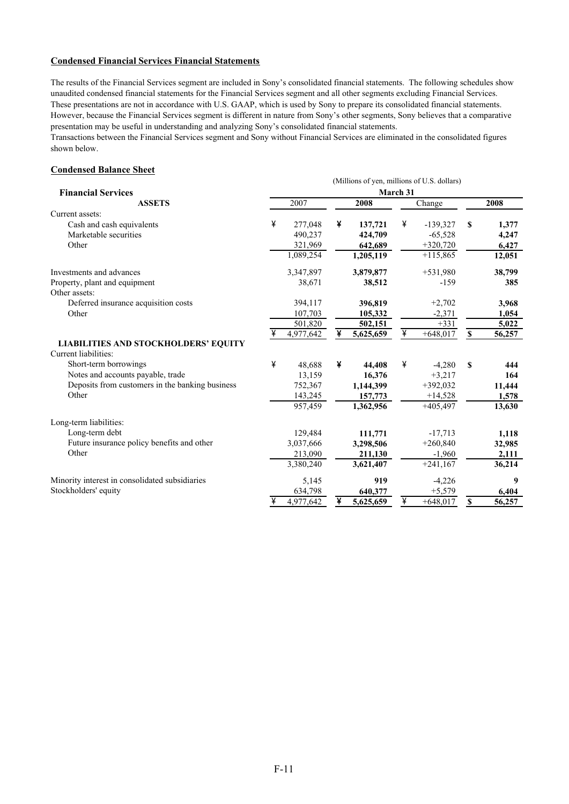#### **Condensed Financial Services Financial Statements**

The results of the Financial Services segment are included in Sony's consolidated financial statements. The following schedules show unaudited condensed financial statements for the Financial Services segment and all other segments excluding Financial Services. These presentations are not in accordance with U.S. GAAP, which is used by Sony to prepare its consolidated financial statements. However, because the Financial Services segment is different in nature from Sony's other segments, Sony believes that a comparative presentation may be useful in understanding and analyzing Sony's consolidated financial statements.

Transactions between the Financial Services segment and Sony without Financial Services are eliminated in the consolidated figures shown below.

#### **Condensed Balance Sheet**

|                                                 | (Millions of yen, millions of U.S. dollars) |           |   |           |          |            |                    |        |  |  |  |
|-------------------------------------------------|---------------------------------------------|-----------|---|-----------|----------|------------|--------------------|--------|--|--|--|
| <b>Financial Services</b>                       |                                             |           |   |           | March 31 |            |                    |        |  |  |  |
| <b>ASSETS</b>                                   | 2007                                        |           |   | 2008      |          | Change     |                    | 2008   |  |  |  |
| Current assets:                                 |                                             |           |   |           |          |            |                    |        |  |  |  |
| Cash and cash equivalents                       | ¥                                           | 277,048   | ¥ | 137,721   | ¥        | $-139,327$ | S                  | 1,377  |  |  |  |
| Marketable securities                           |                                             | 490,237   |   | 424,709   |          | $-65,528$  |                    | 4,247  |  |  |  |
| Other                                           |                                             | 321,969   |   | 642,689   |          | $+320,720$ |                    | 6,427  |  |  |  |
|                                                 |                                             | 1,089,254 |   | 1,205,119 |          | $+115,865$ |                    | 12,051 |  |  |  |
| Investments and advances                        |                                             | 3,347,897 |   | 3,879,877 |          | $+531,980$ |                    | 38,799 |  |  |  |
| Property, plant and equipment                   |                                             | 38,671    |   | 38,512    |          | $-159$     |                    | 385    |  |  |  |
| Other assets:                                   |                                             |           |   |           |          |            |                    |        |  |  |  |
| Deferred insurance acquisition costs            |                                             | 394,117   |   | 396,819   |          | $+2,702$   |                    | 3,968  |  |  |  |
| Other                                           |                                             | 107,703   |   | 105,332   |          | $-2,371$   |                    | 1,054  |  |  |  |
|                                                 |                                             | 501,820   |   | 502,151   |          | $+331$     |                    | 5,022  |  |  |  |
|                                                 |                                             | 4,977,642 |   | 5,625,659 | ¥        | $+648,017$ | $\pmb{\mathbb{S}}$ | 56,257 |  |  |  |
| <b>LIABILITIES AND STOCKHOLDERS' EQUITY</b>     |                                             |           |   |           |          |            |                    |        |  |  |  |
| Current liabilities:                            |                                             |           |   |           |          |            |                    |        |  |  |  |
| Short-term borrowings                           | ¥                                           | 48,688    | ¥ | 44,408    | ¥        | $-4,280$   | $\mathbf{s}$       | 444    |  |  |  |
| Notes and accounts payable, trade               |                                             | 13,159    |   | 16,376    |          | $+3,217$   |                    | 164    |  |  |  |
| Deposits from customers in the banking business |                                             | 752,367   |   | 1,144,399 |          | $+392,032$ |                    | 11,444 |  |  |  |
| Other                                           |                                             | 143,245   |   | 157,773   |          | $+14,528$  |                    | 1,578  |  |  |  |
|                                                 |                                             | 957,459   |   | 1,362,956 |          | $+405,497$ |                    | 13,630 |  |  |  |
| Long-term liabilities:                          |                                             |           |   |           |          |            |                    |        |  |  |  |
| Long-term debt                                  |                                             | 129,484   |   | 111,771   |          | $-17,713$  |                    | 1,118  |  |  |  |
| Future insurance policy benefits and other      |                                             | 3,037,666 |   | 3,298,506 |          | $+260,840$ |                    | 32,985 |  |  |  |
| Other                                           |                                             | 213,090   |   | 211,130   |          | $-1,960$   |                    | 2,111  |  |  |  |
|                                                 |                                             | 3,380,240 |   | 3,621,407 |          | $+241,167$ |                    | 36,214 |  |  |  |
| Minority interest in consolidated subsidiaries  |                                             | 5,145     |   | 919       |          | $-4,226$   |                    | 9      |  |  |  |
| Stockholders' equity                            |                                             | 634,798   |   | 640,377   |          | $+5,579$   |                    | 6,404  |  |  |  |
|                                                 | ¥                                           | 4,977,642 | ¥ | 5,625,659 | ¥        | $+648,017$ | $\mathbf{s}$       | 56,257 |  |  |  |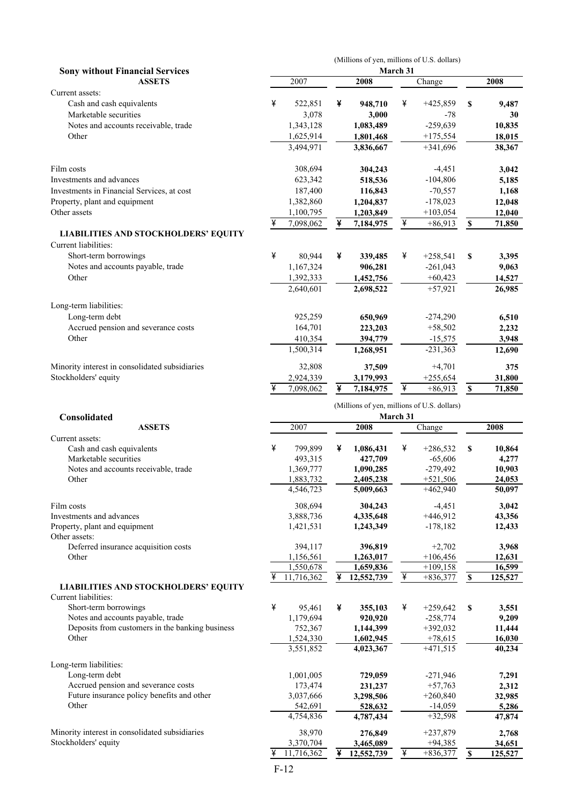|                                                                     |   |                        |   |                        |          | (Millions of yen, millions of U.S. dollars) |                          |                  |
|---------------------------------------------------------------------|---|------------------------|---|------------------------|----------|---------------------------------------------|--------------------------|------------------|
| <b>Sony without Financial Services</b><br><b>ASSETS</b>             |   | 2007                   |   | 2008                   | March 31 | Change                                      |                          | 2008             |
| Current assets:                                                     |   |                        |   |                        |          |                                             |                          |                  |
| Cash and cash equivalents                                           | ¥ | 522,851                | ¥ | 948,710                | ¥        | $+425,859$                                  | \$                       | 9,487            |
| Marketable securities                                               |   | 3,078                  |   | 3,000                  |          | -78                                         |                          | 30               |
| Notes and accounts receivable, trade                                |   | 1,343,128              |   | 1,083,489              |          | $-259,639$                                  |                          | 10,835           |
| Other                                                               |   | 1,625,914<br>3,494,971 |   | 1,801,468              |          | $+175,554$<br>$+341,696$                    |                          | 18,015           |
|                                                                     |   |                        |   | 3,836,667              |          |                                             |                          | 38,367           |
| Film costs                                                          |   | 308,694                |   | 304,243                |          | $-4,451$                                    |                          | 3,042            |
| Investments and advances                                            |   | 623,342                |   | 518,536                |          | $-104,806$                                  |                          | 5,185            |
| Investments in Financial Services, at cost                          |   | 187,400                |   | 116,843                |          | $-70,557$                                   |                          | 1,168            |
| Property, plant and equipment                                       |   | 1,382,860              |   | 1,204,837              |          | $-178,023$                                  |                          | 12,048           |
| Other assets                                                        |   | 1,100,795              |   | 1,203,849              |          | $+103,054$                                  |                          | 12,040           |
|                                                                     | ¥ | 7,098,062              | ¥ | 7,184,975              | ¥        | $+86,913$                                   | $\mathbb S$              | 71,850           |
| <b>LIABILITIES AND STOCKHOLDERS' EQUITY</b><br>Current liabilities: |   |                        |   |                        |          |                                             |                          |                  |
| Short-term borrowings                                               | ¥ | 80,944                 | ¥ | 339,485                | ¥        | $+258,541$                                  | \$                       | 3,395            |
| Notes and accounts payable, trade                                   |   | 1,167,324              |   | 906,281                |          | $-261,043$                                  |                          | 9,063            |
| Other                                                               |   | 1,392,333              |   | 1,452,756              |          | $+60,423$                                   |                          | 14,527           |
|                                                                     |   | 2,640,601              |   | 2,698,522              |          | $+57,921$                                   |                          | 26,985           |
| Long-term liabilities:                                              |   |                        |   |                        |          |                                             |                          |                  |
| Long-term debt                                                      |   | 925,259                |   | 650,969                |          | $-274,290$                                  |                          | 6,510            |
| Accrued pension and severance costs                                 |   | 164,701                |   | 223,203                |          | $+58,502$                                   |                          | 2,232            |
| Other                                                               |   | 410,354                |   | 394,779                |          | $-15,575$                                   |                          | 3,948            |
|                                                                     |   | 1,500,314              |   | 1,268,951              |          | $-231,363$                                  |                          | 12,690           |
| Minority interest in consolidated subsidiaries                      |   | 32,808                 |   | 37,509                 |          | $+4,701$                                    |                          | 375              |
| Stockholders' equity                                                |   | 2,924,339              |   | 3,179,993              |          | $+255,654$                                  |                          | 31,800           |
|                                                                     | ¥ | 7,098,062              | ¥ | 7,184,975              | ¥        | $+86,913$                                   | $\mathbb S$              | 71,850           |
|                                                                     |   |                        |   |                        |          |                                             |                          |                  |
| Consolidated                                                        |   |                        |   |                        | March 31 | (Millions of yen, millions of U.S. dollars) |                          |                  |
| <b>ASSETS</b>                                                       |   | 2007                   |   | 2008                   |          | Change                                      |                          | 2008             |
| Current assets:                                                     |   |                        |   |                        |          |                                             |                          |                  |
| Cash and cash equivalents                                           | ¥ | 799,899                | ¥ | 1,086,431              | ¥        | $+286,532$                                  | \$                       | 10,864           |
| Marketable securities                                               |   | 493,315                |   | 427,709                |          | $-65,606$                                   |                          | 4,277            |
| Notes and accounts receivable, trade                                |   | 1,369,777              |   | 1,090,285              |          | $-279,492$                                  |                          | 10,903           |
| Other                                                               |   | 1,883,732<br>4,546,723 |   | 2,405,238<br>5,009,663 |          | $+521,506$<br>$+462,940$                    |                          | 24,053<br>50,097 |
|                                                                     |   |                        |   |                        |          |                                             |                          |                  |
| Film costs                                                          |   | 308,694                |   | 304,243                |          | $-4,451$                                    |                          | 3,042            |
| Investments and advances<br>Property, plant and equipment           |   | 3,888,736<br>1,421,531 |   | 4,335,648<br>1,243,349 |          | $+446,912$<br>$-178,182$                    |                          | 43,356<br>12,433 |
| Other assets:                                                       |   |                        |   |                        |          |                                             |                          |                  |
| Deferred insurance acquisition costs                                |   | 394,117                |   | 396,819                |          | $+2,702$                                    |                          | 3,968            |
| Other                                                               |   | 1,156,561              |   | 1,263,017              |          | $+106,456$                                  |                          | 12,631           |
|                                                                     |   | 1,550,678              |   | 1,659,836              |          | $+109,158$                                  |                          | 16,599           |
| <b>LIABILITIES AND STOCKHOLDERS' EQUITY</b>                         |   | 11,716,362             |   | 12,552,739             | ¥        | $+836,377$                                  | $\underline{\mathbb{S}}$ | 125,527          |
| Current liabilities:                                                |   |                        |   |                        |          |                                             |                          |                  |
| Short-term borrowings                                               | ¥ | 95,461                 | ¥ | 355,103                | ¥        | $+259,642$                                  | \$                       | 3,551            |
| Notes and accounts payable, trade                                   |   | 1,179,694              |   | 920,920                |          | $-258,774$                                  |                          | 9,209            |
| Deposits from customers in the banking business                     |   | 752,367                |   | 1,144,399              |          | $+392,032$                                  |                          | 11,444           |
| Other                                                               |   | 1,524,330<br>3,551,852 |   | 1,602,945<br>4,023,367 |          | $+78,615$<br>$+471,515$                     |                          | 16,030<br>40,234 |
|                                                                     |   |                        |   |                        |          |                                             |                          |                  |
| Long-term liabilities:                                              |   |                        |   |                        |          |                                             |                          |                  |
| Long-term debt<br>Accrued pension and severance costs               |   | 1,001,005<br>173,474   |   | 729,059<br>231,237     |          | $-271,946$<br>$+57,763$                     |                          | 7,291<br>2,312   |
| Future insurance policy benefits and other                          |   | 3,037,666              |   | 3,298,506              |          | $+260,840$                                  |                          | 32,985           |
| Other                                                               |   | 542,691                |   | 528,632                |          | $-14,059$                                   |                          | 5,286            |
|                                                                     |   | 4,754,836              |   | 4,787,434              |          | $+32,598$                                   |                          | 47,874           |
| Minority interest in consolidated subsidiaries                      |   | 38,970                 |   | 276,849                |          | $+237,879$                                  |                          | 2,768            |
| Stockholders' equity                                                |   | 3,370,704              |   | 3,465,089              |          | $+94,385$                                   |                          | 34,651           |
|                                                                     | ¥ | 11,716,362             | ¥ | 12,552,739             | ¥        | $+836,377$                                  | $\mathbf s$              | 125,527          |
|                                                                     |   | $F-12$                 |   |                        |          |                                             |                          |                  |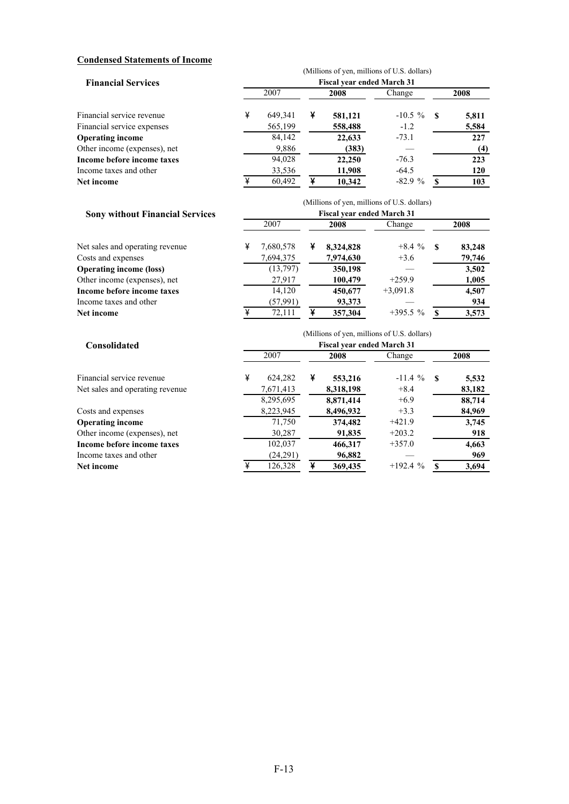#### **Condensed Statements of Income**

|                              |   | (Millions of yen, millions of U.S. dollars) |   |         |            |      |       |  |  |  |  |
|------------------------------|---|---------------------------------------------|---|---------|------------|------|-------|--|--|--|--|
| <b>Financial Services</b>    |   | <b>Fiscal year ended March 31</b>           |   |         |            |      |       |  |  |  |  |
|                              |   | 2007                                        |   | 2008    | Change     | 2008 |       |  |  |  |  |
| Financial service revenue    | ¥ | 649.341                                     | ¥ | 581,121 | $-10.5 \%$ | - \$ | 5,811 |  |  |  |  |
| Financial service expenses   |   | 565,199                                     |   | 558,488 | $-1.2$     |      | 5,584 |  |  |  |  |
| <b>Operating income</b>      |   | 84,142                                      |   | 22,633  | $-73.1$    |      | 227   |  |  |  |  |
| Other income (expenses), net |   | 9,886                                       |   | (383)   |            |      | (4)   |  |  |  |  |
| Income before income taxes   |   | 94,028                                      |   | 22,250  | $-76.3$    |      | 223   |  |  |  |  |
| Income taxes and other       |   | 33,536                                      |   | 11,908  | $-64.5$    |      | 120   |  |  |  |  |
| Net income                   |   | 60,492                                      | ¥ | 10,342  | $-82.9%$   |      | 103   |  |  |  |  |

|                                        | (Millions of yen, millions of U.S. dollars) |                                   |   |           |            |      |        |  |  |  |  |  |
|----------------------------------------|---------------------------------------------|-----------------------------------|---|-----------|------------|------|--------|--|--|--|--|--|
| <b>Sony without Financial Services</b> |                                             | <b>Fiscal year ended March 31</b> |   |           |            |      |        |  |  |  |  |  |
|                                        | 2007                                        |                                   |   | 2008      | Change     | 2008 |        |  |  |  |  |  |
| Net sales and operating revenue        | ¥                                           | 7,680,578                         | ¥ | 8,324,828 | $+8.4%$    | -8   | 83,248 |  |  |  |  |  |
| Costs and expenses                     |                                             | 7,694,375                         |   | 7,974,630 | $+3.6$     |      | 79,746 |  |  |  |  |  |
| <b>Operating income (loss)</b>         |                                             | (13,797)                          |   | 350,198   |            |      | 3,502  |  |  |  |  |  |
| Other income (expenses), net           |                                             | 27,917                            |   | 100,479   | $+259.9$   |      | 1,005  |  |  |  |  |  |
| Income before income taxes             |                                             | 14,120                            |   | 450,677   | $+3,091.8$ |      | 4,507  |  |  |  |  |  |
| Income taxes and other                 |                                             | (57, 991)                         |   | 93,373    |            |      | 934    |  |  |  |  |  |
| Net income                             |                                             | 72,111                            |   | 357,304   | $+395.5%$  |      | 3,573  |  |  |  |  |  |

|                                 | (Millions of yen, millions of U.S. dollars) |                                   |   |           |           |    |        |  |  |  |  |  |  |
|---------------------------------|---------------------------------------------|-----------------------------------|---|-----------|-----------|----|--------|--|--|--|--|--|--|
| <b>Consolidated</b>             |                                             | <b>Fiscal year ended March 31</b> |   |           |           |    |        |  |  |  |  |  |  |
|                                 |                                             | 2007                              |   | 2008      | Change    |    | 2008   |  |  |  |  |  |  |
| Financial service revenue       | ¥                                           | 624.282                           | ¥ | 553,216   | $-11.4%$  | -8 | 5,532  |  |  |  |  |  |  |
| Net sales and operating revenue |                                             | 7,671,413                         |   | 8,318,198 | $+8.4$    |    | 83,182 |  |  |  |  |  |  |
|                                 |                                             | 8,295,695                         |   | 8.871.414 | $+6.9$    |    | 88,714 |  |  |  |  |  |  |
| Costs and expenses              |                                             | 8,223,945                         |   | 8,496,932 | $+3.3$    |    | 84,969 |  |  |  |  |  |  |
| <b>Operating income</b>         |                                             | 71,750                            |   | 374,482   | $+421.9$  |    | 3,745  |  |  |  |  |  |  |
| Other income (expenses), net    |                                             | 30,287                            |   | 91,835    | $+203.2$  |    | 918    |  |  |  |  |  |  |
| Income before income taxes      |                                             | 102,037                           |   | 466,317   | $+357.0$  |    | 4,663  |  |  |  |  |  |  |
| Income taxes and other          |                                             | (24,291)                          |   | 96,882    |           |    | 969    |  |  |  |  |  |  |
| Net income                      | ¥                                           | 126,328                           | ¥ | 369,435   | $+192.4%$ |    | 3,694  |  |  |  |  |  |  |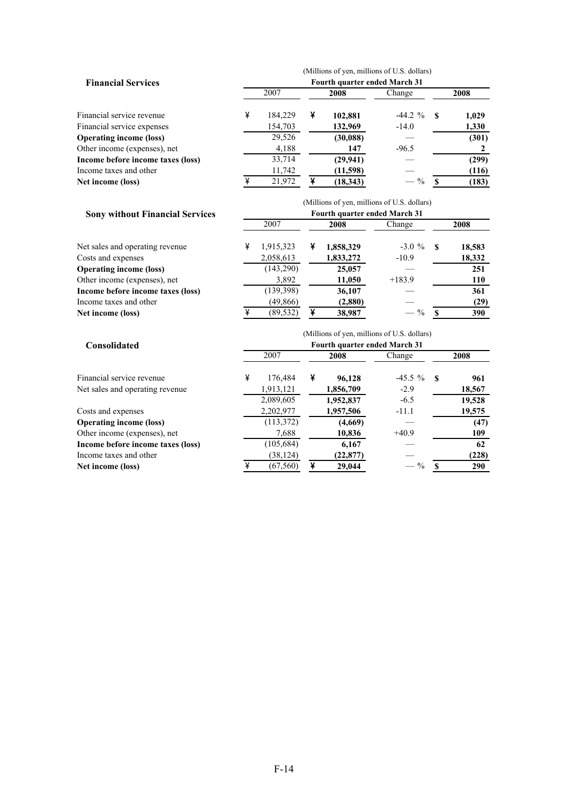|                                   |   |         |   |                               | (Millions of yen, millions of U.S. dollars) |     |       |
|-----------------------------------|---|---------|---|-------------------------------|---------------------------------------------|-----|-------|
| <b>Financial Services</b>         |   |         |   | Fourth quarter ended March 31 |                                             |     |       |
|                                   |   | 2007    |   | 2008                          | Change                                      |     | 2008  |
| Financial service revenue         | ¥ | 184.229 | ¥ | 102,881                       | $-44.2 \%$                                  | - S | 1,029 |
| Financial service expenses        |   | 154,703 |   | 132,969                       | $-14.0$                                     |     | 1,330 |
| <b>Operating income (loss)</b>    |   | 29,526  |   | (30, 088)                     |                                             |     | (301) |
| Other income (expenses), net      |   | 4,188   |   | 147                           | $-96.5$                                     |     |       |
| Income before income taxes (loss) |   | 33,714  |   | (29, 941)                     |                                             |     | (299) |
| Income taxes and other            |   | 11,742  |   | (11,598)                      |                                             |     | (116) |
| Net income (loss)                 |   | 21.972  | ¥ | (18, 343)                     | $\frac{0}{0}$                               |     | (183) |

|                                        |   |                                      |   |           | (Millions of yen, millions of U.S. dollars) |      |            |  |  |  |  |
|----------------------------------------|---|--------------------------------------|---|-----------|---------------------------------------------|------|------------|--|--|--|--|
| <b>Sony without Financial Services</b> |   | <b>Fourth quarter ended March 31</b> |   |           |                                             |      |            |  |  |  |  |
|                                        |   | 2007                                 |   | 2008      | Change                                      |      | 2008       |  |  |  |  |
| Net sales and operating revenue        | ¥ | 1,915,323                            | ¥ | 1,858,329 | $-3.0 \%$                                   | - \$ | 18,583     |  |  |  |  |
| Costs and expenses                     |   | 2,058,613                            |   | 1,833,272 | $-10.9$                                     |      | 18,332     |  |  |  |  |
| <b>Operating income (loss)</b>         |   | (143,290)                            |   | 25,057    |                                             |      | 251        |  |  |  |  |
| Other income (expenses), net           |   | 3,892                                |   | 11,050    | $+183.9$                                    |      | <b>110</b> |  |  |  |  |
| Income before income taxes (loss)      |   | (139, 398)                           |   | 36,107    |                                             |      | 361        |  |  |  |  |
| Income taxes and other                 |   | (49, 866)                            |   | (2,880)   |                                             |      | (29)       |  |  |  |  |
| Net income (loss)                      |   | (89, 532)                            |   | 38,987    | $\frac{0}{0}$                               |      | 390        |  |  |  |  |

|                                   | (Millions of yen, millions of U.S. dollars) |            |   |                                       |           |    |        |  |  |  |  |
|-----------------------------------|---------------------------------------------|------------|---|---------------------------------------|-----------|----|--------|--|--|--|--|
| <b>Consolidated</b>               |                                             | 2007       |   | Fourth quarter ended March 31<br>2008 | Change    |    | 2008   |  |  |  |  |
| Financial service revenue         | ¥                                           | 176.484    | ¥ | 96,128                                | $-45.5\%$ | -S | 961    |  |  |  |  |
| Net sales and operating revenue.  |                                             | 1,913,121  |   | 1,856,709                             | $-2.9$    |    | 18,567 |  |  |  |  |
|                                   |                                             | 2,089,605  |   | 1,952,837                             | $-6.5$    |    | 19,528 |  |  |  |  |
| Costs and expenses                |                                             | 2,202,977  |   | 1,957,506                             | $-11.1$   |    | 19,575 |  |  |  |  |
| <b>Operating income (loss)</b>    |                                             | (113,372)  |   | (4,669)                               |           |    | (47)   |  |  |  |  |
| Other income (expenses), net      |                                             | 7,688      |   | 10,836                                | $+40.9$   |    | 109    |  |  |  |  |
| Income before income taxes (loss) |                                             | (105, 684) |   | 6,167                                 |           |    | 62     |  |  |  |  |
| Income taxes and other            |                                             | (38, 124)  |   | (22, 877)                             |           |    | (228)  |  |  |  |  |
| Net income (loss)                 |                                             | (67, 560)  | ¥ | 29,044                                | $\%$      |    | 290    |  |  |  |  |

#### F-14